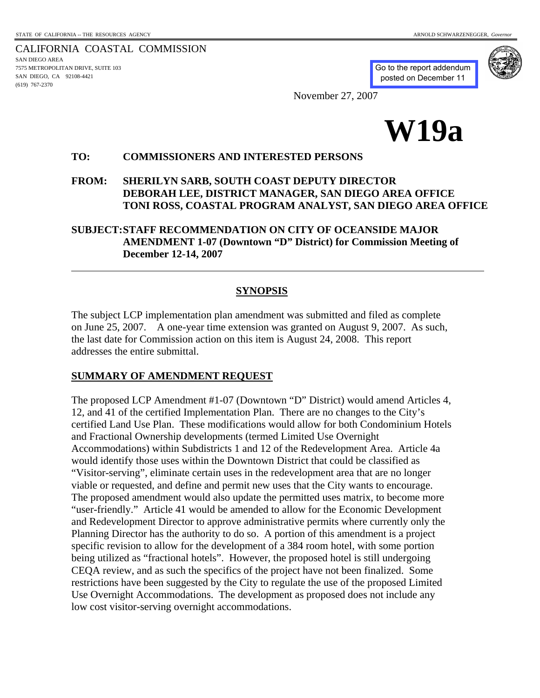$\overline{a}$ 

CALIFORNIA COASTAL COMMISSION SAN DIEGO AREA 7575 METROPOLITAN DRIVE, SUITE 103 SAN DIEGO, CA 92108-4421 (619) 767-2370

[Go to the report addendum](http://documents.coastal.ca.gov/reports/2007/12/W19a-12-2007-a3.pdf)  posted on December 11



November 27, 2007



#### **TO: COMMISSIONERS AND INTERESTED PERSONS**

**FROM: SHERILYN SARB, SOUTH COAST DEPUTY DIRECTOR DEBORAH LEE, DISTRICT MANAGER, SAN DIEGO AREA OFFICE TONI ROSS, COASTAL PROGRAM ANALYST, SAN DIEGO AREA OFFICE** 

### **SUBJECT: STAFF RECOMMENDATION ON CITY OF OCEANSIDE MAJOR AMENDMENT 1-07 (Downtown "D" District) for Commission Meeting of December 12-14, 2007**

#### **SYNOPSIS**

The subject LCP implementation plan amendment was submitted and filed as complete on June 25, 2007. A one-year time extension was granted on August 9, 2007. As such, the last date for Commission action on this item is August 24, 2008. This report addresses the entire submittal.

#### **SUMMARY OF AMENDMENT REQUEST**

The proposed LCP Amendment #1-07 (Downtown "D" District) would amend Articles 4, 12, and 41 of the certified Implementation Plan. There are no changes to the City's certified Land Use Plan. These modifications would allow for both Condominium Hotels and Fractional Ownership developments (termed Limited Use Overnight Accommodations) within Subdistricts 1 and 12 of the Redevelopment Area. Article 4a would identify those uses within the Downtown District that could be classified as "Visitor-serving", eliminate certain uses in the redevelopment area that are no longer viable or requested, and define and permit new uses that the City wants to encourage. The proposed amendment would also update the permitted uses matrix, to become more "user-friendly." Article 41 would be amended to allow for the Economic Development and Redevelopment Director to approve administrative permits where currently only the Planning Director has the authority to do so. A portion of this amendment is a project specific revision to allow for the development of a 384 room hotel, with some portion being utilized as "fractional hotels". However, the proposed hotel is still undergoing CEQA review, and as such the specifics of the project have not been finalized. Some restrictions have been suggested by the City to regulate the use of the proposed Limited Use Overnight Accommodations. The development as proposed does not include any low cost visitor-serving overnight accommodations.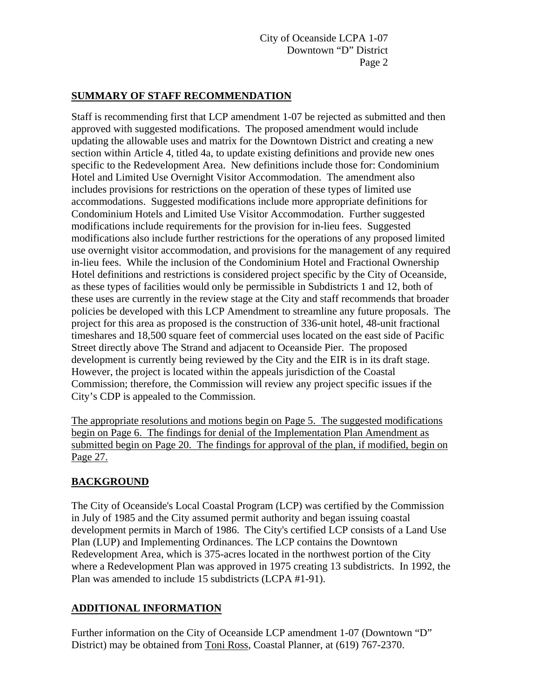### **SUMMARY OF STAFF RECOMMENDATION**

Staff is recommending first that LCP amendment 1-07 be rejected as submitted and then approved with suggested modifications. The proposed amendment would include updating the allowable uses and matrix for the Downtown District and creating a new section within Article 4, titled 4a, to update existing definitions and provide new ones specific to the Redevelopment Area. New definitions include those for: Condominium Hotel and Limited Use Overnight Visitor Accommodation. The amendment also includes provisions for restrictions on the operation of these types of limited use accommodations. Suggested modifications include more appropriate definitions for Condominium Hotels and Limited Use Visitor Accommodation. Further suggested modifications include requirements for the provision for in-lieu fees. Suggested modifications also include further restrictions for the operations of any proposed limited use overnight visitor accommodation, and provisions for the management of any required in-lieu fees. While the inclusion of the Condominium Hotel and Fractional Ownership Hotel definitions and restrictions is considered project specific by the City of Oceanside, as these types of facilities would only be permissible in Subdistricts 1 and 12, both of these uses are currently in the review stage at the City and staff recommends that broader policies be developed with this LCP Amendment to streamline any future proposals. The project for this area as proposed is the construction of 336-unit hotel, 48-unit fractional timeshares and 18,500 square feet of commercial uses located on the east side of Pacific Street directly above The Strand and adjacent to Oceanside Pier. The proposed development is currently being reviewed by the City and the EIR is in its draft stage. However, the project is located within the appeals jurisdiction of the Coastal Commission; therefore, the Commission will review any project specific issues if the City's CDP is appealed to the Commission.

The appropriate resolutions and motions begin on Page 5. The suggested modifications begin on Page 6. The findings for denial of the Implementation Plan Amendment as submitted begin on Page 20. The findings for approval of the plan, if modified, begin on Page 27.

### **BACKGROUND**

The City of Oceanside's Local Coastal Program (LCP) was certified by the Commission in July of 1985 and the City assumed permit authority and began issuing coastal development permits in March of 1986. The City's certified LCP consists of a Land Use Plan (LUP) and Implementing Ordinances. The LCP contains the Downtown Redevelopment Area, which is 375-acres located in the northwest portion of the City where a Redevelopment Plan was approved in 1975 creating 13 subdistricts. In 1992, the Plan was amended to include 15 subdistricts (LCPA #1-91).

### **ADDITIONAL INFORMATION**

Further information on the City of Oceanside LCP amendment 1-07 (Downtown "D" District) may be obtained from Toni Ross, Coastal Planner, at (619) 767-2370.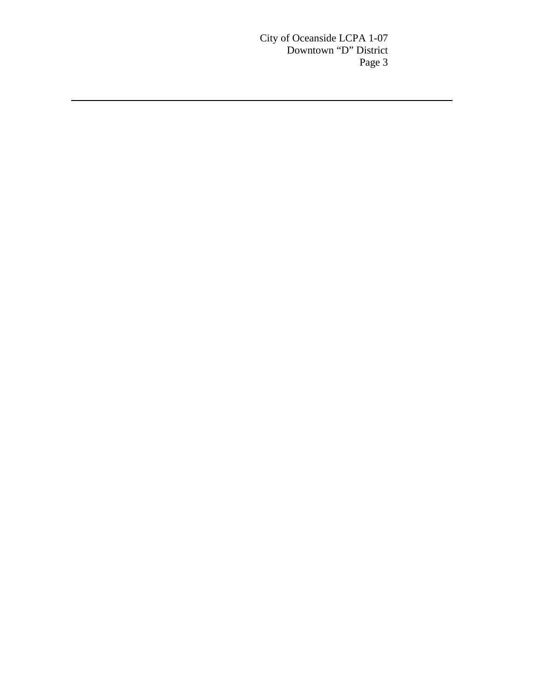$\overline{a}$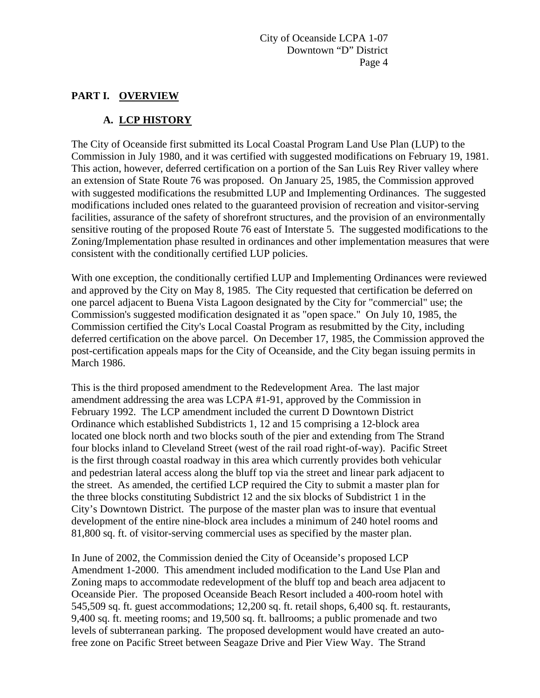### **PART I. OVERVIEW**

### **A. LCP HISTORY**

The City of Oceanside first submitted its Local Coastal Program Land Use Plan (LUP) to the Commission in July 1980, and it was certified with suggested modifications on February 19, 1981. This action, however, deferred certification on a portion of the San Luis Rey River valley where an extension of State Route 76 was proposed. On January 25, 1985, the Commission approved with suggested modifications the resubmitted LUP and Implementing Ordinances. The suggested modifications included ones related to the guaranteed provision of recreation and visitor-serving facilities, assurance of the safety of shorefront structures, and the provision of an environmentally sensitive routing of the proposed Route 76 east of Interstate 5. The suggested modifications to the Zoning/Implementation phase resulted in ordinances and other implementation measures that were consistent with the conditionally certified LUP policies.

With one exception, the conditionally certified LUP and Implementing Ordinances were reviewed and approved by the City on May 8, 1985. The City requested that certification be deferred on one parcel adjacent to Buena Vista Lagoon designated by the City for "commercial" use; the Commission's suggested modification designated it as "open space." On July 10, 1985, the Commission certified the City's Local Coastal Program as resubmitted by the City, including deferred certification on the above parcel. On December 17, 1985, the Commission approved the post-certification appeals maps for the City of Oceanside, and the City began issuing permits in March 1986.

This is the third proposed amendment to the Redevelopment Area. The last major amendment addressing the area was LCPA #1-91, approved by the Commission in February 1992. The LCP amendment included the current D Downtown District Ordinance which established Subdistricts 1, 12 and 15 comprising a 12-block area located one block north and two blocks south of the pier and extending from The Strand four blocks inland to Cleveland Street (west of the rail road right-of-way). Pacific Street is the first through coastal roadway in this area which currently provides both vehicular and pedestrian lateral access along the bluff top via the street and linear park adjacent to the street. As amended, the certified LCP required the City to submit a master plan for the three blocks constituting Subdistrict 12 and the six blocks of Subdistrict 1 in the City's Downtown District. The purpose of the master plan was to insure that eventual development of the entire nine-block area includes a minimum of 240 hotel rooms and 81,800 sq. ft. of visitor-serving commercial uses as specified by the master plan.

In June of 2002, the Commission denied the City of Oceanside's proposed LCP Amendment 1-2000. This amendment included modification to the Land Use Plan and Zoning maps to accommodate redevelopment of the bluff top and beach area adjacent to Oceanside Pier. The proposed Oceanside Beach Resort included a 400-room hotel with 545,509 sq. ft. guest accommodations; 12,200 sq. ft. retail shops, 6,400 sq. ft. restaurants, 9,400 sq. ft. meeting rooms; and 19,500 sq. ft. ballrooms; a public promenade and two levels of subterranean parking. The proposed development would have created an autofree zone on Pacific Street between Seagaze Drive and Pier View Way. The Strand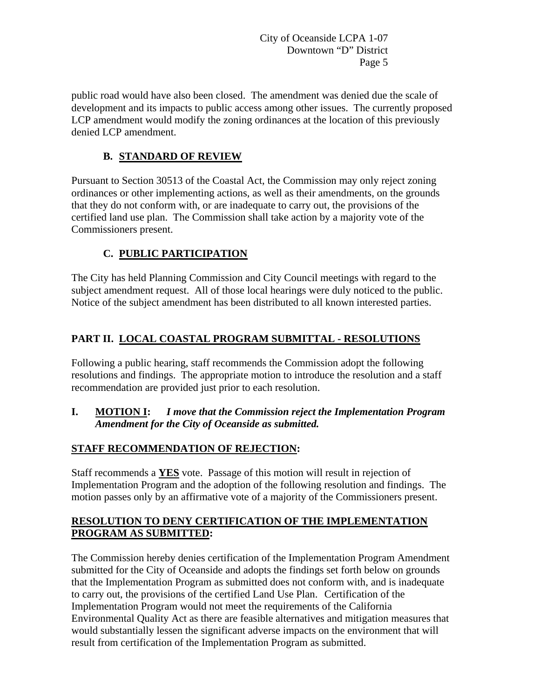public road would have also been closed. The amendment was denied due the scale of development and its impacts to public access among other issues. The currently proposed LCP amendment would modify the zoning ordinances at the location of this previously denied LCP amendment.

### **B. STANDARD OF REVIEW**

Pursuant to Section 30513 of the Coastal Act, the Commission may only reject zoning ordinances or other implementing actions, as well as their amendments, on the grounds that they do not conform with, or are inadequate to carry out, the provisions of the certified land use plan. The Commission shall take action by a majority vote of the Commissioners present.

## **C. PUBLIC PARTICIPATION**

The City has held Planning Commission and City Council meetings with regard to the subject amendment request. All of those local hearings were duly noticed to the public. Notice of the subject amendment has been distributed to all known interested parties.

# **PART II. LOCAL COASTAL PROGRAM SUBMITTAL - RESOLUTIONS**

Following a public hearing, staff recommends the Commission adopt the following resolutions and findings. The appropriate motion to introduce the resolution and a staff recommendation are provided just prior to each resolution.

## **I. MOTION I:** *I move that the Commission reject the Implementation Program Amendment for the City of Oceanside as submitted.*

### **STAFF RECOMMENDATION OF REJECTION:**

Staff recommends a **YES** vote. Passage of this motion will result in rejection of Implementation Program and the adoption of the following resolution and findings. The motion passes only by an affirmative vote of a majority of the Commissioners present.

## **RESOLUTION TO DENY CERTIFICATION OF THE IMPLEMENTATION PROGRAM AS SUBMITTED:**

The Commission hereby denies certification of the Implementation Program Amendment submitted for the City of Oceanside and adopts the findings set forth below on grounds that the Implementation Program as submitted does not conform with, and is inadequate to carry out, the provisions of the certified Land Use Plan. Certification of the Implementation Program would not meet the requirements of the California Environmental Quality Act as there are feasible alternatives and mitigation measures that would substantially lessen the significant adverse impacts on the environment that will result from certification of the Implementation Program as submitted.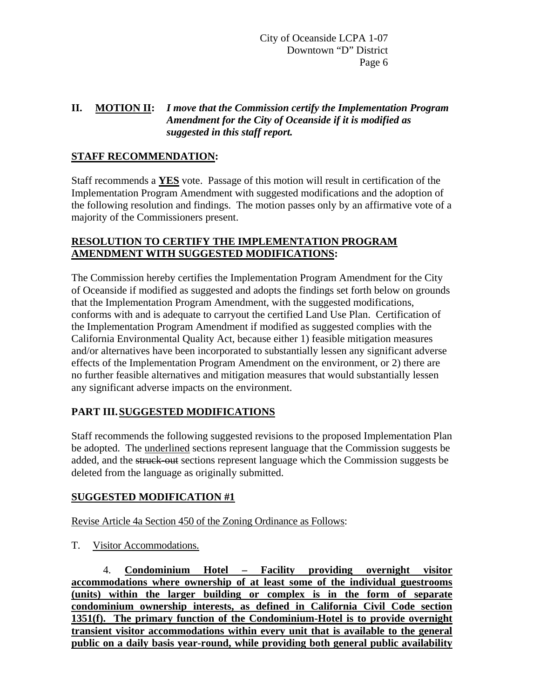### **II. MOTION II:** *I move that the Commission certify the Implementation Program Amendment for the City of Oceanside if it is modified as suggested in this staff report.*

### **STAFF RECOMMENDATION:**

Staff recommends a **YES** vote. Passage of this motion will result in certification of the Implementation Program Amendment with suggested modifications and the adoption of the following resolution and findings. The motion passes only by an affirmative vote of a majority of the Commissioners present.

### **RESOLUTION TO CERTIFY THE IMPLEMENTATION PROGRAM AMENDMENT WITH SUGGESTED MODIFICATIONS:**

The Commission hereby certifies the Implementation Program Amendment for the City of Oceanside if modified as suggested and adopts the findings set forth below on grounds that the Implementation Program Amendment, with the suggested modifications, conforms with and is adequate to carryout the certified Land Use Plan. Certification of the Implementation Program Amendment if modified as suggested complies with the California Environmental Quality Act, because either 1) feasible mitigation measures and/or alternatives have been incorporated to substantially lessen any significant adverse effects of the Implementation Program Amendment on the environment, or 2) there are no further feasible alternatives and mitigation measures that would substantially lessen any significant adverse impacts on the environment.

## **PART III. SUGGESTED MODIFICATIONS**

Staff recommends the following suggested revisions to the proposed Implementation Plan be adopted. The underlined sections represent language that the Commission suggests be added, and the struck-out sections represent language which the Commission suggests be deleted from the language as originally submitted.

### **SUGGESTED MODIFICATION #1**

Revise Article 4a Section 450 of the Zoning Ordinance as Follows:

T. Visitor Accommodations.

 4. **Condominium Hotel – Facility providing overnight visitor accommodations where ownership of at least some of the individual guestrooms (units) within the larger building or complex is in the form of separate condominium ownership interests, as defined in California Civil Code section 1351(f). The primary function of the Condominium-Hotel is to provide overnight transient visitor accommodations within every unit that is available to the general public on a daily basis year-round, while providing both general public availability**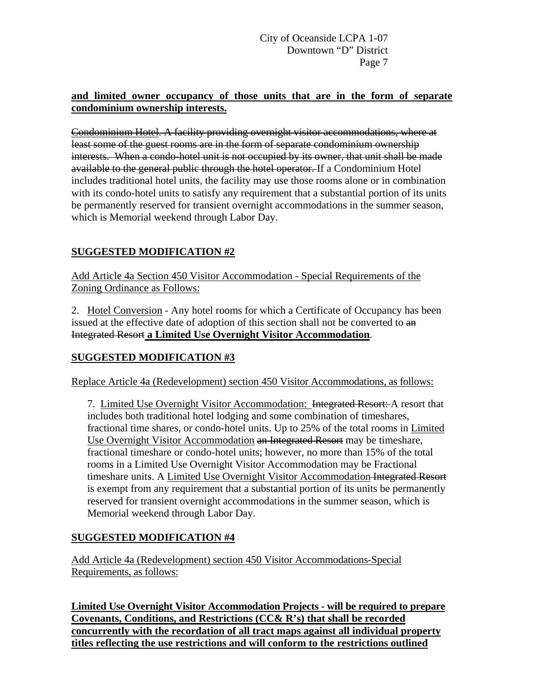### **and limited owner occupancy of those units that are in the form of separate condominium ownership interests.**

Condominium Hotel. A facility providing overnight visitor accommodations, where at least some of the guest rooms are in the form of separate condominium ownership interests. When a condo-hotel unit is not occupied by its owner, that unit shall be made available to the general public through the hotel operator. If a Condominium Hotel includes traditional hotel units, the facility may use those rooms alone or in combination with its condo-hotel units to satisfy any requirement that a substantial portion of its units be permanently reserved for transient overnight accommodations in the summer season, which is Memorial weekend through Labor Day.

## **SUGGESTED MODIFICATION #2**

Add Article 4a Section 450 Visitor Accommodation - Special Requirements of the Zoning Ordinance as Follows:

2. Hotel Conversion - Any hotel rooms for which a Certificate of Occupancy has been issued at the effective date of adoption of this section shall not be converted to an Integrated Resort **a Limited Use Overnight Visitor Accommodation**.

## **SUGGESTED MODIFICATION #3**

Replace Article 4a (Redevelopment) section 450 Visitor Accommodations, as follows:

 7. Limited Use Overnight Visitor Accommodation: Integrated Resort: A resort that includes both traditional hotel lodging and some combination of timeshares, fractional time shares, or condo-hotel units. Up to 25% of the total rooms in Limited Use Overnight Visitor Accommodation an Integrated Resort may be timeshare, fractional timeshare or condo-hotel units; however, no more than 15% of the total rooms in a Limited Use Overnight Visitor Accommodation may be Fractional timeshare units. A Limited Use Overnight Visitor Accommodation Integrated Resort is exempt from any requirement that a substantial portion of its units be permanently reserved for transient overnight accommodations in the summer season, which is Memorial weekend through Labor Day.

## **SUGGESTED MODIFICATION #4**

Add Article 4a (Redevelopment) section 450 Visitor Accommodations-Special Requirements, as follows:

**Limited Use Overnight Visitor Accommodation Projects - will be required to prepare Covenants, Conditions, and Restrictions (CC& R's) that shall be recorded concurrently with the recordation of all tract maps against all individual property titles reflecting the use restrictions and will conform to the restrictions outlined**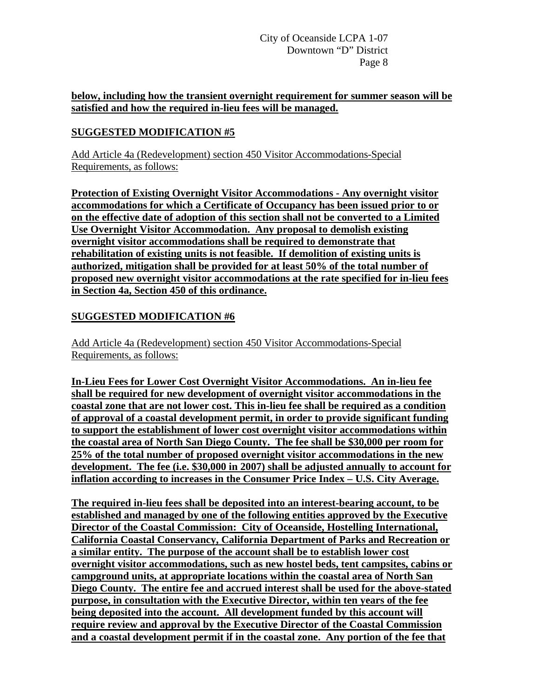#### **below, including how the transient overnight requirement for summer season will be satisfied and how the required in-lieu fees will be managed.**

### **SUGGESTED MODIFICATION #5**

Add Article 4a (Redevelopment) section 450 Visitor Accommodations-Special Requirements, as follows:

**Protection of Existing Overnight Visitor Accommodations - Any overnight visitor accommodations for which a Certificate of Occupancy has been issued prior to or on the effective date of adoption of this section shall not be converted to a Limited Use Overnight Visitor Accommodation. Any proposal to demolish existing overnight visitor accommodations shall be required to demonstrate that rehabilitation of existing units is not feasible. If demolition of existing units is authorized, mitigation shall be provided for at least 50% of the total number of proposed new overnight visitor accommodations at the rate specified for in-lieu fees in Section 4a, Section 450 of this ordinance.** 

### **SUGGESTED MODIFICATION #6**

Add Article 4a (Redevelopment) section 450 Visitor Accommodations-Special Requirements, as follows:

**In-Lieu Fees for Lower Cost Overnight Visitor Accommodations. An in-lieu fee shall be required for new development of overnight visitor accommodations in the coastal zone that are not lower cost. This in-lieu fee shall be required as a condition of approval of a coastal development permit, in order to provide significant funding to support the establishment of lower cost overnight visitor accommodations within the coastal area of North San Diego County. The fee shall be \$30,000 per room for 25% of the total number of proposed overnight visitor accommodations in the new development. The fee (i.e. \$30,000 in 2007) shall be adjusted annually to account for inflation according to increases in the Consumer Price Index – U.S. City Average.** 

**The required in-lieu fees shall be deposited into an interest-bearing account, to be established and managed by one of the following entities approved by the Executive Director of the Coastal Commission: City of Oceanside, Hostelling International, California Coastal Conservancy, California Department of Parks and Recreation or a similar entity. The purpose of the account shall be to establish lower cost overnight visitor accommodations, such as new hostel beds, tent campsites, cabins or campground units, at appropriate locations within the coastal area of North San Diego County. The entire fee and accrued interest shall be used for the above-stated purpose, in consultation with the Executive Director, within ten years of the fee being deposited into the account. All development funded by this account will require review and approval by the Executive Director of the Coastal Commission and a coastal development permit if in the coastal zone. Any portion of the fee that**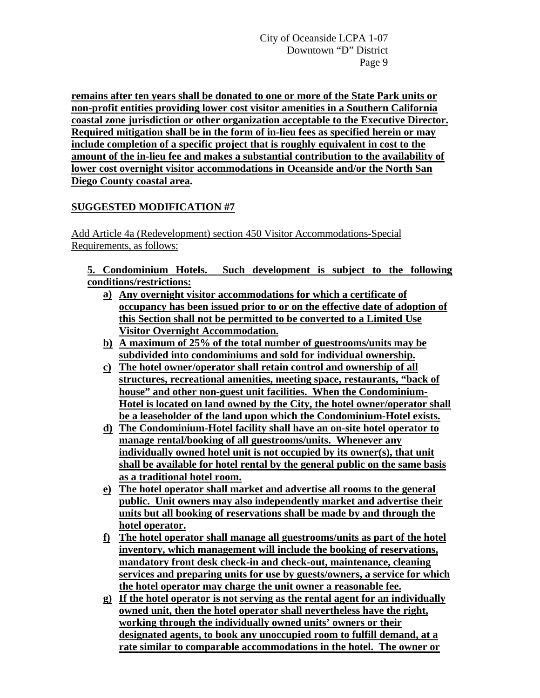**remains after ten years shall be donated to one or more of the State Park units or non-profit entities providing lower cost visitor amenities in a Southern California coastal zone jurisdiction or other organization acceptable to the Executive Director. Required mitigation shall be in the form of in-lieu fees as specified herein or may include completion of a specific project that is roughly equivalent in cost to the amount of the in-lieu fee and makes a substantial contribution to the availability of lower cost overnight visitor accommodations in Oceanside and/or the North San Diego County coastal area.** 

## **SUGGESTED MODIFICATION #7**

Add Article 4a (Redevelopment) section 450 Visitor Accommodations-Special Requirements, as follows:

**5. Condominium Hotels. Such development is subject to the following conditions/restrictions:**

- **a) Any overnight visitor accommodations for which a certificate of occupancy has been issued prior to or on the effective date of adoption of this Section shall not be permitted to be converted to a Limited Use Visitor Overnight Accommodation.**
- **b) A maximum of 25% of the total number of guestrooms/units may be subdivided into condominiums and sold for individual ownership.**
- **c) The hotel owner/operator shall retain control and ownership of all structures, recreational amenities, meeting space, restaurants, "back of house" and other non-guest unit facilities. When the Condominium-Hotel is located on land owned by the City, the hotel owner/operator shall be a leaseholder of the land upon which the Condominium-Hotel exists.**
- **d) The Condominium-Hotel facility shall have an on-site hotel operator to manage rental/booking of all guestrooms/units. Whenever any individually owned hotel unit is not occupied by its owner(s), that unit shall be available for hotel rental by the general public on the same basis as a traditional hotel room.**
- **e) The hotel operator shall market and advertise all rooms to the general public. Unit owners may also independently market and advertise their units but all booking of reservations shall be made by and through the hotel operator.**
- **f) The hotel operator shall manage all guestrooms/units as part of the hotel inventory, which management will include the booking of reservations, mandatory front desk check-in and check-out, maintenance, cleaning services and preparing units for use by guests/owners, a service for which the hotel operator may charge the unit owner a reasonable fee.**
- **g) If the hotel operator is not serving as the rental agent for an individually owned unit, then the hotel operator shall nevertheless have the right, working through the individually owned units' owners or their designated agents, to book any unoccupied room to fulfill demand, at a rate similar to comparable accommodations in the hotel. The owner or**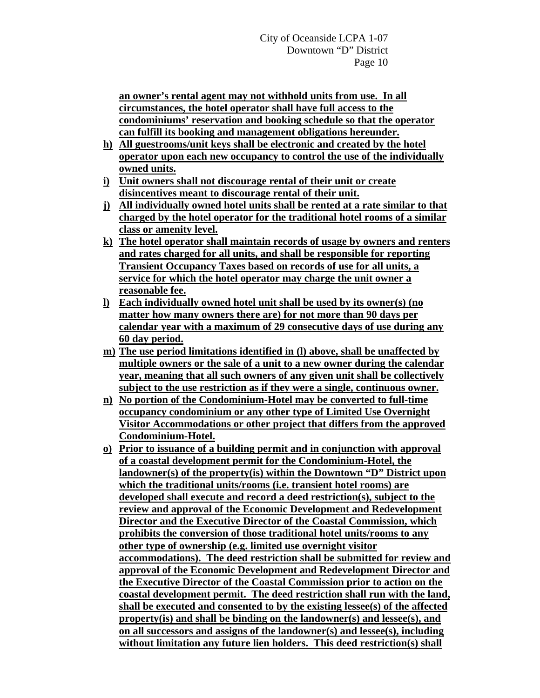**an owner's rental agent may not withhold units from use. In all circumstances, the hotel operator shall have full access to the condominiums' reservation and booking schedule so that the operator can fulfill its booking and management obligations hereunder.**

- **h) All guestrooms/unit keys shall be electronic and created by the hotel operator upon each new occupancy to control the use of the individually owned units.**
- **i) Unit owners shall not discourage rental of their unit or create disincentives meant to discourage rental of their unit.**
- **j) All individually owned hotel units shall be rented at a rate similar to that charged by the hotel operator for the traditional hotel rooms of a similar class or amenity level.**
- **k) The hotel operator shall maintain records of usage by owners and renters and rates charged for all units, and shall be responsible for reporting Transient Occupancy Taxes based on records of use for all units, a service for which the hotel operator may charge the unit owner a reasonable fee.**
- **l) Each individually owned hotel unit shall be used by its owner(s) (no matter how many owners there are) for not more than 90 days per calendar year with a maximum of 29 consecutive days of use during any 60 day period.**
- **m) The use period limitations identified in (l) above, shall be unaffected by multiple owners or the sale of a unit to a new owner during the calendar year, meaning that all such owners of any given unit shall be collectively subject to the use restriction as if they were a single, continuous owner.**
- **n) No portion of the Condominium-Hotel may be converted to full-time occupancy condominium or any other type of Limited Use Overnight Visitor Accommodations or other project that differs from the approved Condominium-Hotel.**
- **o) Prior to issuance of a building permit and in conjunction with approval of a coastal development permit for the Condominium-Hotel, the landowner(s) of the property(is) within the Downtown "D" District upon which the traditional units/rooms (i.e. transient hotel rooms) are developed shall execute and record a deed restriction(s), subject to the review and approval of the Economic Development and Redevelopment Director and the Executive Director of the Coastal Commission, which prohibits the conversion of those traditional hotel units/rooms to any other type of ownership (e.g. limited use overnight visitor accommodations). The deed restriction shall be submitted for review and approval of the Economic Development and Redevelopment Director and the Executive Director of the Coastal Commission prior to action on the coastal development permit. The deed restriction shall run with the land, shall be executed and consented to by the existing lessee(s) of the affected property(is) and shall be binding on the landowner(s) and lessee(s), and on all successors and assigns of the landowner(s) and lessee(s), including without limitation any future lien holders. This deed restriction(s) shall**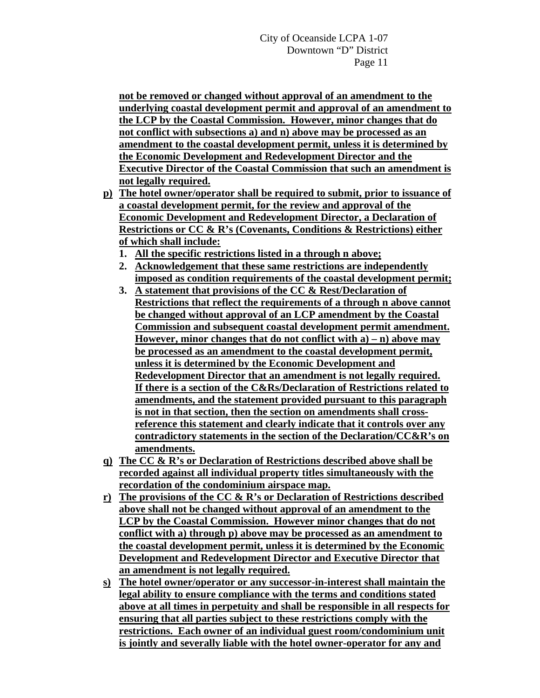**not be removed or changed without approval of an amendment to the underlying coastal development permit and approval of an amendment to the LCP by the Coastal Commission. However, minor changes that do not conflict with subsections a) and n) above may be processed as an amendment to the coastal development permit, unless it is determined by the Economic Development and Redevelopment Director and the Executive Director of the Coastal Commission that such an amendment is not legally required.**

- **p) The hotel owner/operator shall be required to submit, prior to issuance of a coastal development permit, for the review and approval of the Economic Development and Redevelopment Director, a Declaration of Restrictions or CC & R's (Covenants, Conditions & Restrictions) either of which shall include:**
	- **1. All the specific restrictions listed in a through n above;**
	- **2. Acknowledgement that these same restrictions are independently imposed as condition requirements of the coastal development permit;**
	- **3. A statement that provisions of the CC & Rest/Declaration of Restrictions that reflect the requirements of a through n above cannot be changed without approval of an LCP amendment by the Coastal Commission and subsequent coastal development permit amendment. However, minor changes that do not conflict with a) – n) above may be processed as an amendment to the coastal development permit, unless it is determined by the Economic Development and Redevelopment Director that an amendment is not legally required. If there is a section of the C&Rs/Declaration of Restrictions related to amendments, and the statement provided pursuant to this paragraph is not in that section, then the section on amendments shall crossreference this statement and clearly indicate that it controls over any contradictory statements in the section of the Declaration/CC&R's on amendments.**
- **q) The CC & R's or Declaration of Restrictions described above shall be recorded against all individual property titles simultaneously with the recordation of the condominium airspace map.**
- **r) The provisions of the CC & R's or Declaration of Restrictions described above shall not be changed without approval of an amendment to the LCP by the Coastal Commission. However minor changes that do not conflict with a) through p) above may be processed as an amendment to the coastal development permit, unless it is determined by the Economic Development and Redevelopment Director and Executive Director that an amendment is not legally required.**
- **s) The hotel owner/operator or any successor-in-interest shall maintain the legal ability to ensure compliance with the terms and conditions stated above at all times in perpetuity and shall be responsible in all respects for ensuring that all parties subject to these restrictions comply with the restrictions. Each owner of an individual guest room/condominium unit is jointly and severally liable with the hotel owner-operator for any and**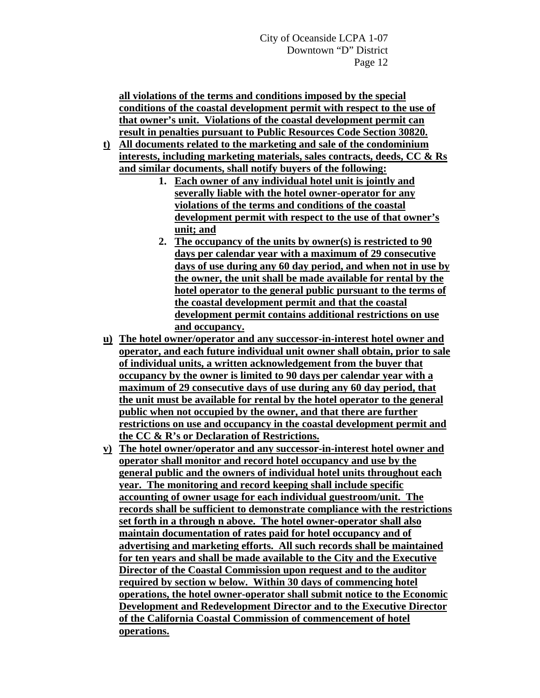**all violations of the terms and conditions imposed by the special conditions of the coastal development permit with respect to the use of that owner's unit. Violations of the coastal development permit can result in penalties pursuant to Public Resources Code Section 30820.**

- **t) All documents related to the marketing and sale of the condominium interests, including marketing materials, sales contracts, deeds, CC & Rs and similar documents, shall notify buyers of the following:**
	- **1. Each owner of any individual hotel unit is jointly and severally liable with the hotel owner-operator for any violations of the terms and conditions of the coastal development permit with respect to the use of that owner's unit; and**
	- **2. The occupancy of the units by owner(s) is restricted to 90 days per calendar year with a maximum of 29 consecutive days of use during any 60 day period, and when not in use by the owner, the unit shall be made available for rental by the hotel operator to the general public pursuant to the terms of the coastal development permit and that the coastal development permit contains additional restrictions on use and occupancy.**
- **u) The hotel owner/operator and any successor-in-interest hotel owner and operator, and each future individual unit owner shall obtain, prior to sale of individual units, a written acknowledgement from the buyer that occupancy by the owner is limited to 90 days per calendar year with a maximum of 29 consecutive days of use during any 60 day period, that the unit must be available for rental by the hotel operator to the general public when not occupied by the owner, and that there are further restrictions on use and occupancy in the coastal development permit and the CC & R's or Declaration of Restrictions.**
- **v) The hotel owner/operator and any successor-in-interest hotel owner and operator shall monitor and record hotel occupancy and use by the general public and the owners of individual hotel units throughout each year. The monitoring and record keeping shall include specific accounting of owner usage for each individual guestroom/unit. The records shall be sufficient to demonstrate compliance with the restrictions set forth in a through n above. The hotel owner-operator shall also maintain documentation of rates paid for hotel occupancy and of advertising and marketing efforts. All such records shall be maintained for ten years and shall be made available to the City and the Executive Director of the Coastal Commission upon request and to the auditor required by section w below. Within 30 days of commencing hotel operations, the hotel owner-operator shall submit notice to the Economic Development and Redevelopment Director and to the Executive Director of the California Coastal Commission of commencement of hotel operations.**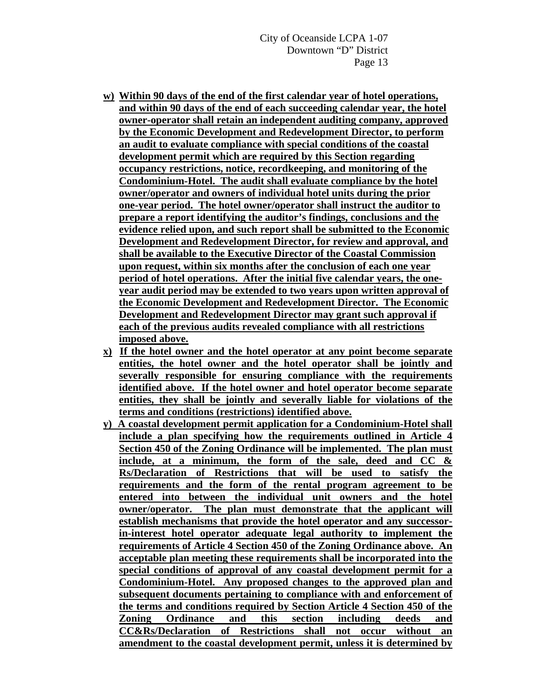- **w) Within 90 days of the end of the first calendar year of hotel operations, and within 90 days of the end of each succeeding calendar year, the hotel owner-operator shall retain an independent auditing company, approved by the Economic Development and Redevelopment Director, to perform an audit to evaluate compliance with special conditions of the coastal development permit which are required by this Section regarding occupancy restrictions, notice, recordkeeping, and monitoring of the Condominium-Hotel. The audit shall evaluate compliance by the hotel owner/operator and owners of individual hotel units during the prior one-year period. The hotel owner/operator shall instruct the auditor to prepare a report identifying the auditor's findings, conclusions and the evidence relied upon, and such report shall be submitted to the Economic Development and Redevelopment Director, for review and approval, and shall be available to the Executive Director of the Coastal Commission upon request, within six months after the conclusion of each one year period of hotel operations. After the initial five calendar years, the oneyear audit period may be extended to two years upon written approval of the Economic Development and Redevelopment Director. The Economic Development and Redevelopment Director may grant such approval if each of the previous audits revealed compliance with all restrictions imposed above.**
- **x) If the hotel owner and the hotel operator at any point become separate entities, the hotel owner and the hotel operator shall be jointly and severally responsible for ensuring compliance with the requirements identified above. If the hotel owner and hotel operator become separate entities, they shall be jointly and severally liable for violations of the terms and conditions (restrictions) identified above.**
- **y) A coastal development permit application for a Condominium-Hotel shall include a plan specifying how the requirements outlined in Article 4 Section 450 of the Zoning Ordinance will be implemented. The plan must include, at a minimum, the form of the sale, deed and CC & Rs/Declaration of Restrictions that will be used to satisfy the requirements and the form of the rental program agreement to be entered into between the individual unit owners and the hotel owner/operator. The plan must demonstrate that the applicant will establish mechanisms that provide the hotel operator and any successorin-interest hotel operator adequate legal authority to implement the requirements of Article 4 Section 450 of the Zoning Ordinance above. An acceptable plan meeting these requirements shall be incorporated into the special conditions of approval of any coastal development permit for a Condominium-Hotel. Any proposed changes to the approved plan and subsequent documents pertaining to compliance with and enforcement of the terms and conditions required by Section Article 4 Section 450 of the Zoning Ordinance and this section including deeds and CC&Rs/Declaration of Restrictions shall not occur without an amendment to the coastal development permit, unless it is determined by**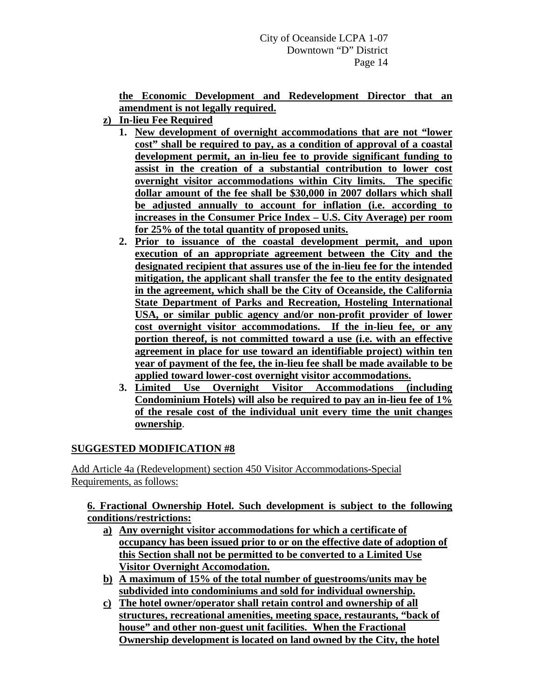**the Economic Development and Redevelopment Director that an amendment is not legally required.**

- **z) In-lieu Fee Required**
	- **1. New development of overnight accommodations that are not "lower cost" shall be required to pay, as a condition of approval of a coastal development permit, an in-lieu fee to provide significant funding to assist in the creation of a substantial contribution to lower cost overnight visitor accommodations within City limits. The specific dollar amount of the fee shall be \$30,000 in 2007 dollars which shall be adjusted annually to account for inflation (i.e. according to increases in the Consumer Price Index – U.S. City Average) per room for 25% of the total quantity of proposed units.**
	- **2. Prior to issuance of the coastal development permit, and upon execution of an appropriate agreement between the City and the designated recipient that assures use of the in-lieu fee for the intended mitigation, the applicant shall transfer the fee to the entity designated in the agreement, which shall be the City of Oceanside, the California State Department of Parks and Recreation, Hosteling International USA, or similar public agency and/or non-profit provider of lower cost overnight visitor accommodations. If the in-lieu fee, or any portion thereof, is not committed toward a use (i.e. with an effective agreement in place for use toward an identifiable project) within ten year of payment of the fee, the in-lieu fee shall be made available to be applied toward lower-cost overnight visitor accommodations.**
	- **3. Limited Use Overnight Visitor Accommodations (including Condominium Hotels) will also be required to pay an in-lieu fee of 1% of the resale cost of the individual unit every time the unit changes ownership**.

# **SUGGESTED MODIFICATION #8**

Add Article 4a (Redevelopment) section 450 Visitor Accommodations-Special Requirements, as follows:

### **6. Fractional Ownership Hotel. Such development is subject to the following conditions/restrictions:**

- **a) Any overnight visitor accommodations for which a certificate of occupancy has been issued prior to or on the effective date of adoption of this Section shall not be permitted to be converted to a Limited Use Visitor Overnight Accomodation.**
- **b) A maximum of 15% of the total number of guestrooms/units may be subdivided into condominiums and sold for individual ownership.**
- **c) The hotel owner/operator shall retain control and ownership of all structures, recreational amenities, meeting space, restaurants, "back of house" and other non-guest unit facilities. When the Fractional Ownership development is located on land owned by the City, the hotel**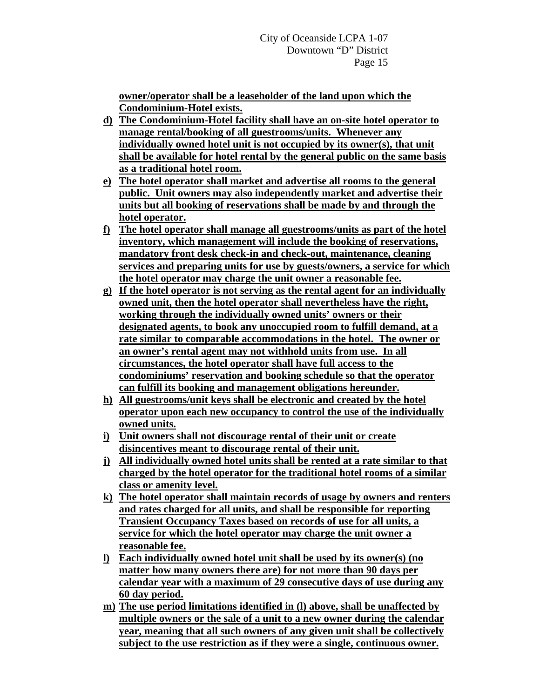**owner/operator shall be a leaseholder of the land upon which the Condominium-Hotel exists.** 

- **d) The Condominium-Hotel facility shall have an on-site hotel operator to manage rental/booking of all guestrooms/units. Whenever any individually owned hotel unit is not occupied by its owner(s), that unit shall be available for hotel rental by the general public on the same basis as a traditional hotel room.**
- **e) The hotel operator shall market and advertise all rooms to the general public. Unit owners may also independently market and advertise their units but all booking of reservations shall be made by and through the hotel operator.**
- **f) The hotel operator shall manage all guestrooms/units as part of the hotel inventory, which management will include the booking of reservations, mandatory front desk check-in and check-out, maintenance, cleaning services and preparing units for use by guests/owners, a service for which the hotel operator may charge the unit owner a reasonable fee.**
- **g) If the hotel operator is not serving as the rental agent for an individually owned unit, then the hotel operator shall nevertheless have the right, working through the individually owned units' owners or their designated agents, to book any unoccupied room to fulfill demand, at a rate similar to comparable accommodations in the hotel. The owner or an owner's rental agent may not withhold units from use. In all circumstances, the hotel operator shall have full access to the condominiums' reservation and booking schedule so that the operator can fulfill its booking and management obligations hereunder.**
- **h) All guestrooms/unit keys shall be electronic and created by the hotel operator upon each new occupancy to control the use of the individually owned units.**
- **i) Unit owners shall not discourage rental of their unit or create disincentives meant to discourage rental of their unit.**
- **j) All individually owned hotel units shall be rented at a rate similar to that charged by the hotel operator for the traditional hotel rooms of a similar class or amenity level.**
- **k) The hotel operator shall maintain records of usage by owners and renters and rates charged for all units, and shall be responsible for reporting Transient Occupancy Taxes based on records of use for all units, a service for which the hotel operator may charge the unit owner a reasonable fee.**
- **l) Each individually owned hotel unit shall be used by its owner(s) (no matter how many owners there are) for not more than 90 days per calendar year with a maximum of 29 consecutive days of use during any 60 day period.**
- **m) The use period limitations identified in (l) above, shall be unaffected by multiple owners or the sale of a unit to a new owner during the calendar year, meaning that all such owners of any given unit shall be collectively subject to the use restriction as if they were a single, continuous owner.**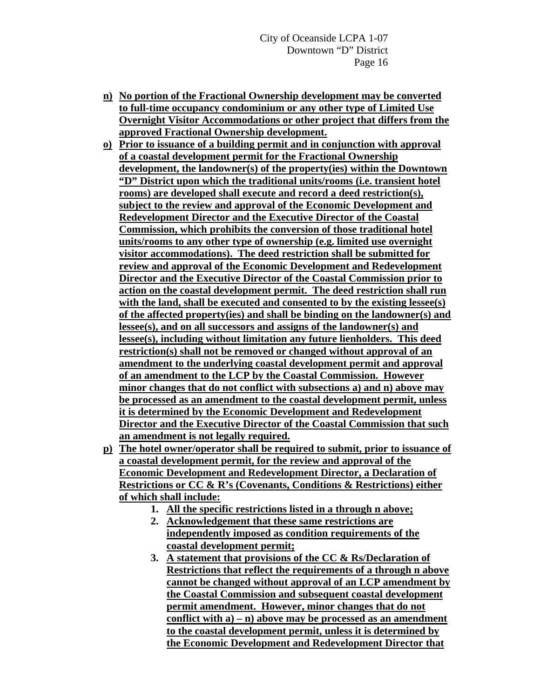- **n) No portion of the Fractional Ownership development may be converted to full-time occupancy condominium or any other type of Limited Use Overnight Visitor Accommodations or other project that differs from the approved Fractional Ownership development.**
- **o) Prior to issuance of a building permit and in conjunction with approval of a coastal development permit for the Fractional Ownership development, the landowner(s) of the property(ies) within the Downtown "D" District upon which the traditional units/rooms (i.e. transient hotel rooms) are developed shall execute and record a deed restriction(s), subject to the review and approval of the Economic Development and Redevelopment Director and the Executive Director of the Coastal Commission, which prohibits the conversion of those traditional hotel units/rooms to any other type of ownership (e.g. limited use overnight visitor accommodations). The deed restriction shall be submitted for review and approval of the Economic Development and Redevelopment Director and the Executive Director of the Coastal Commission prior to action on the coastal development permit. The deed restriction shall run with the land, shall be executed and consented to by the existing lessee(s) of the affected property(ies) and shall be binding on the landowner(s) and lessee(s), and on all successors and assigns of the landowner(s) and lessee(s), including without limitation any future lienholders. This deed restriction(s) shall not be removed or changed without approval of an amendment to the underlying coastal development permit and approval of an amendment to the LCP by the Coastal Commission. However minor changes that do not conflict with subsections a) and n) above may be processed as an amendment to the coastal development permit, unless it is determined by the Economic Development and Redevelopment Director and the Executive Director of the Coastal Commission that such an amendment is not legally required.**
- **p) The hotel owner/operator shall be required to submit, prior to issuance of a coastal development permit, for the review and approval of the Economic Development and Redevelopment Director, a Declaration of Restrictions or CC & R's (Covenants, Conditions & Restrictions) either of which shall include:**
	- **1. All the specific restrictions listed in a through n above;**
	- **2. Acknowledgement that these same restrictions are independently imposed as condition requirements of the coastal development permit;**
	- **3. A statement that provisions of the CC & Rs/Declaration of Restrictions that reflect the requirements of a through n above cannot be changed without approval of an LCP amendment by the Coastal Commission and subsequent coastal development permit amendment. However, minor changes that do not conflict with a) – n) above may be processed as an amendment to the coastal development permit, unless it is determined by the Economic Development and Redevelopment Director that**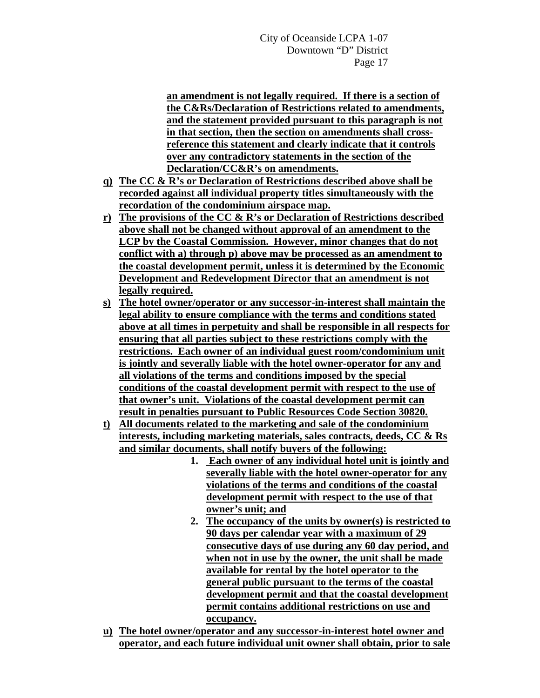**an amendment is not legally required. If there is a section of the C&Rs/Declaration of Restrictions related to amendments, and the statement provided pursuant to this paragraph is not in that section, then the section on amendments shall crossreference this statement and clearly indicate that it controls over any contradictory statements in the section of the Declaration/CC&R's on amendments.**

- **q) The CC & R's or Declaration of Restrictions described above shall be recorded against all individual property titles simultaneously with the recordation of the condominium airspace map.**
- **r) The provisions of the CC & R's or Declaration of Restrictions described above shall not be changed without approval of an amendment to the LCP by the Coastal Commission. However, minor changes that do not conflict with a) through p) above may be processed as an amendment to the coastal development permit, unless it is determined by the Economic Development and Redevelopment Director that an amendment is not legally required.**
- **s) The hotel owner/operator or any successor-in-interest shall maintain the legal ability to ensure compliance with the terms and conditions stated above at all times in perpetuity and shall be responsible in all respects for ensuring that all parties subject to these restrictions comply with the restrictions. Each owner of an individual guest room/condominium unit is jointly and severally liable with the hotel owner-operator for any and all violations of the terms and conditions imposed by the special conditions of the coastal development permit with respect to the use of that owner's unit. Violations of the coastal development permit can result in penalties pursuant to Public Resources Code Section 30820.**
- **t) All documents related to the marketing and sale of the condominium interests, including marketing materials, sales contracts, deeds, CC & Rs and similar documents, shall notify buyers of the following:**
	- **1. Each owner of any individual hotel unit is jointly and severally liable with the hotel owner-operator for any violations of the terms and conditions of the coastal development permit with respect to the use of that owner's unit; and**
	- **2. The occupancy of the units by owner(s) is restricted to 90 days per calendar year with a maximum of 29 consecutive days of use during any 60 day period, and when not in use by the owner, the unit shall be made available for rental by the hotel operator to the general public pursuant to the terms of the coastal development permit and that the coastal development permit contains additional restrictions on use and occupancy.**
- **u) The hotel owner/operator and any successor-in-interest hotel owner and operator, and each future individual unit owner shall obtain, prior to sale**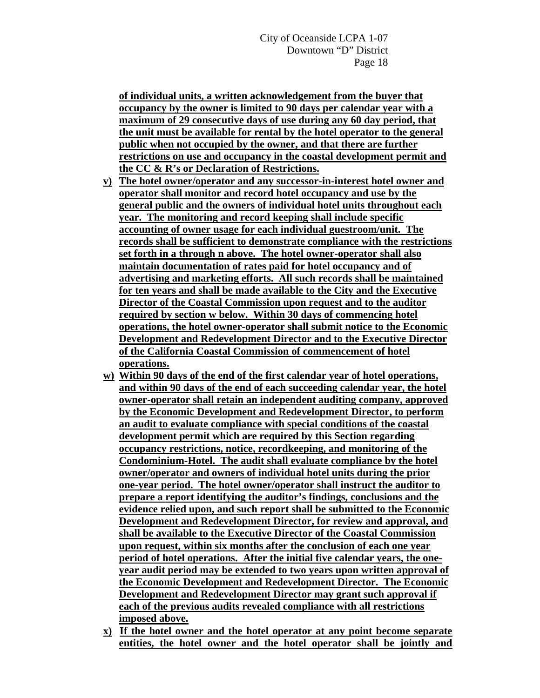**of individual units, a written acknowledgement from the buyer that occupancy by the owner is limited to 90 days per calendar year with a maximum of 29 consecutive days of use during any 60 day period, that the unit must be available for rental by the hotel operator to the general public when not occupied by the owner, and that there are further restrictions on use and occupancy in the coastal development permit and the CC & R's or Declaration of Restrictions.**

- **v) The hotel owner/operator and any successor-in-interest hotel owner and operator shall monitor and record hotel occupancy and use by the general public and the owners of individual hotel units throughout each year. The monitoring and record keeping shall include specific accounting of owner usage for each individual guestroom/unit. The records shall be sufficient to demonstrate compliance with the restrictions set forth in a through n above. The hotel owner-operator shall also maintain documentation of rates paid for hotel occupancy and of advertising and marketing efforts. All such records shall be maintained for ten years and shall be made available to the City and the Executive Director of the Coastal Commission upon request and to the auditor required by section w below. Within 30 days of commencing hotel operations, the hotel owner-operator shall submit notice to the Economic Development and Redevelopment Director and to the Executive Director of the California Coastal Commission of commencement of hotel operations.**
- **w) Within 90 days of the end of the first calendar year of hotel operations, and within 90 days of the end of each succeeding calendar year, the hotel owner-operator shall retain an independent auditing company, approved by the Economic Development and Redevelopment Director, to perform an audit to evaluate compliance with special conditions of the coastal development permit which are required by this Section regarding occupancy restrictions, notice, recordkeeping, and monitoring of the Condominium-Hotel. The audit shall evaluate compliance by the hotel owner/operator and owners of individual hotel units during the prior one-year period. The hotel owner/operator shall instruct the auditor to prepare a report identifying the auditor's findings, conclusions and the evidence relied upon, and such report shall be submitted to the Economic Development and Redevelopment Director, for review and approval, and shall be available to the Executive Director of the Coastal Commission upon request, within six months after the conclusion of each one year period of hotel operations. After the initial five calendar years, the oneyear audit period may be extended to two years upon written approval of the Economic Development and Redevelopment Director. The Economic Development and Redevelopment Director may grant such approval if each of the previous audits revealed compliance with all restrictions imposed above.**
- **x) If the hotel owner and the hotel operator at any point become separate entities, the hotel owner and the hotel operator shall be jointly and**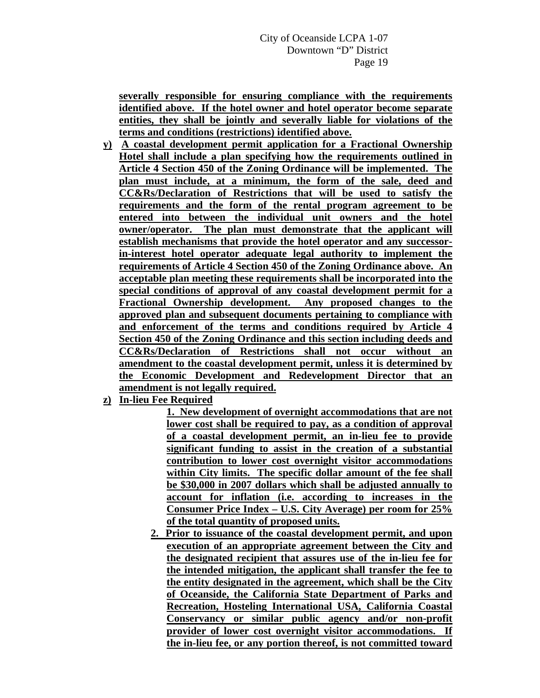**severally responsible for ensuring compliance with the requirements identified above. If the hotel owner and hotel operator become separate entities, they shall be jointly and severally liable for violations of the terms and conditions (restrictions) identified above.**

- **y) A coastal development permit application for a Fractional Ownership Hotel shall include a plan specifying how the requirements outlined in Article 4 Section 450 of the Zoning Ordinance will be implemented. The plan must include, at a minimum, the form of the sale, deed and CC&Rs/Declaration of Restrictions that will be used to satisfy the requirements and the form of the rental program agreement to be entered into between the individual unit owners and the hotel owner/operator. The plan must demonstrate that the applicant will establish mechanisms that provide the hotel operator and any successorin-interest hotel operator adequate legal authority to implement the requirements of Article 4 Section 450 of the Zoning Ordinance above. An acceptable plan meeting these requirements shall be incorporated into the special conditions of approval of any coastal development permit for a Fractional Ownership development. Any proposed changes to the approved plan and subsequent documents pertaining to compliance with and enforcement of the terms and conditions required by Article 4 Section 450 of the Zoning Ordinance and this section including deeds and CC&Rs/Declaration of Restrictions shall not occur without an amendment to the coastal development permit, unless it is determined by the Economic Development and Redevelopment Director that an amendment is not legally required.**
- **z) In-lieu Fee Required**

 **1. New development of overnight accommodations that are not lower cost shall be required to pay, as a condition of approval of a coastal development permit, an in-lieu fee to provide significant funding to assist in the creation of a substantial contribution to lower cost overnight visitor accommodations within City limits. The specific dollar amount of the fee shall be \$30,000 in 2007 dollars which shall be adjusted annually to account for inflation (i.e. according to increases in the Consumer Price Index – U.S. City Average) per room for 25% of the total quantity of proposed units.** 

**2. Prior to issuance of the coastal development permit, and upon execution of an appropriate agreement between the City and the designated recipient that assures use of the in-lieu fee for the intended mitigation, the applicant shall transfer the fee to the entity designated in the agreement, which shall be the City of Oceanside, the California State Department of Parks and Recreation, Hosteling International USA, California Coastal Conservancy or similar public agency and/or non-profit provider of lower cost overnight visitor accommodations. If the in-lieu fee, or any portion thereof, is not committed toward**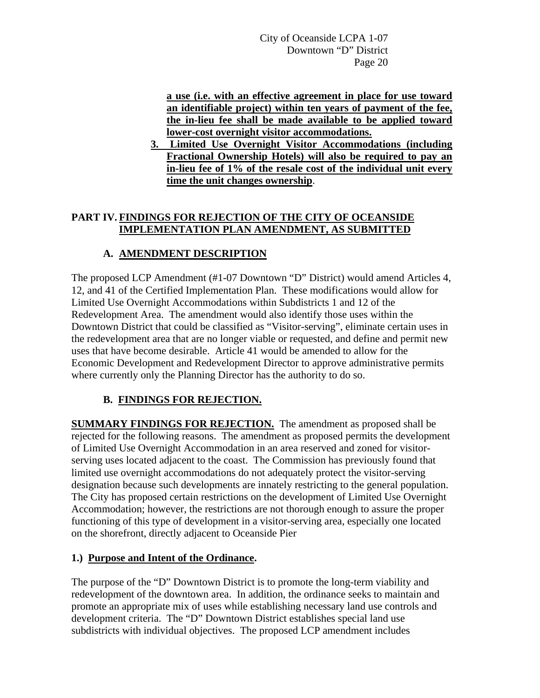**a use (i.e. with an effective agreement in place for use toward an identifiable project) within ten years of payment of the fee, the in-lieu fee shall be made available to be applied toward lower-cost overnight visitor accommodations.**

**3. Limited Use Overnight Visitor Accommodations (including Fractional Ownership Hotels) will also be required to pay an in-lieu fee of 1% of the resale cost of the individual unit every time the unit changes ownership**.

### **PART IV. FINDINGS FOR REJECTION OF THE CITY OF OCEANSIDE IMPLEMENTATION PLAN AMENDMENT, AS SUBMITTED**

# **A. AMENDMENT DESCRIPTION**

The proposed LCP Amendment (#1-07 Downtown "D" District) would amend Articles 4, 12, and 41 of the Certified Implementation Plan. These modifications would allow for Limited Use Overnight Accommodations within Subdistricts 1 and 12 of the Redevelopment Area. The amendment would also identify those uses within the Downtown District that could be classified as "Visitor-serving", eliminate certain uses in the redevelopment area that are no longer viable or requested, and define and permit new uses that have become desirable. Article 41 would be amended to allow for the Economic Development and Redevelopment Director to approve administrative permits where currently only the Planning Director has the authority to do so.

# **B. FINDINGS FOR REJECTION.**

**SUMMARY FINDINGS FOR REJECTION.** The amendment as proposed shall be rejected for the following reasons. The amendment as proposed permits the development of Limited Use Overnight Accommodation in an area reserved and zoned for visitorserving uses located adjacent to the coast. The Commission has previously found that limited use overnight accommodations do not adequately protect the visitor-serving designation because such developments are innately restricting to the general population. The City has proposed certain restrictions on the development of Limited Use Overnight Accommodation; however, the restrictions are not thorough enough to assure the proper functioning of this type of development in a visitor-serving area, especially one located on the shorefront, directly adjacent to Oceanside Pier

## **1.) Purpose and Intent of the Ordinance.**

The purpose of the "D" Downtown District is to promote the long-term viability and redevelopment of the downtown area. In addition, the ordinance seeks to maintain and promote an appropriate mix of uses while establishing necessary land use controls and development criteria. The "D" Downtown District establishes special land use subdistricts with individual objectives. The proposed LCP amendment includes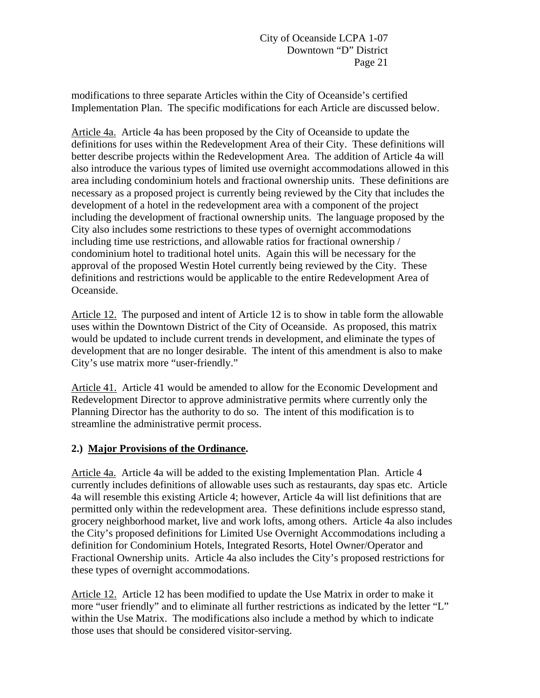modifications to three separate Articles within the City of Oceanside's certified Implementation Plan. The specific modifications for each Article are discussed below.

Article 4a. Article 4a has been proposed by the City of Oceanside to update the definitions for uses within the Redevelopment Area of their City. These definitions will better describe projects within the Redevelopment Area. The addition of Article 4a will also introduce the various types of limited use overnight accommodations allowed in this area including condominium hotels and fractional ownership units. These definitions are necessary as a proposed project is currently being reviewed by the City that includes the development of a hotel in the redevelopment area with a component of the project including the development of fractional ownership units. The language proposed by the City also includes some restrictions to these types of overnight accommodations including time use restrictions, and allowable ratios for fractional ownership / condominium hotel to traditional hotel units. Again this will be necessary for the approval of the proposed Westin Hotel currently being reviewed by the City. These definitions and restrictions would be applicable to the entire Redevelopment Area of Oceanside.

Article 12. The purposed and intent of Article 12 is to show in table form the allowable uses within the Downtown District of the City of Oceanside. As proposed, this matrix would be updated to include current trends in development, and eliminate the types of development that are no longer desirable. The intent of this amendment is also to make City's use matrix more "user-friendly."

Article 41. Article 41 would be amended to allow for the Economic Development and Redevelopment Director to approve administrative permits where currently only the Planning Director has the authority to do so. The intent of this modification is to streamline the administrative permit process.

#### **2.) Major Provisions of the Ordinance.**

Article 4a. Article 4a will be added to the existing Implementation Plan. Article 4 currently includes definitions of allowable uses such as restaurants, day spas etc. Article 4a will resemble this existing Article 4; however, Article 4a will list definitions that are permitted only within the redevelopment area. These definitions include espresso stand, grocery neighborhood market, live and work lofts, among others. Article 4a also includes the City's proposed definitions for Limited Use Overnight Accommodations including a definition for Condominium Hotels, Integrated Resorts, Hotel Owner/Operator and Fractional Ownership units. Article 4a also includes the City's proposed restrictions for these types of overnight accommodations.

Article 12. Article 12 has been modified to update the Use Matrix in order to make it more "user friendly" and to eliminate all further restrictions as indicated by the letter "L" within the Use Matrix. The modifications also include a method by which to indicate those uses that should be considered visitor-serving.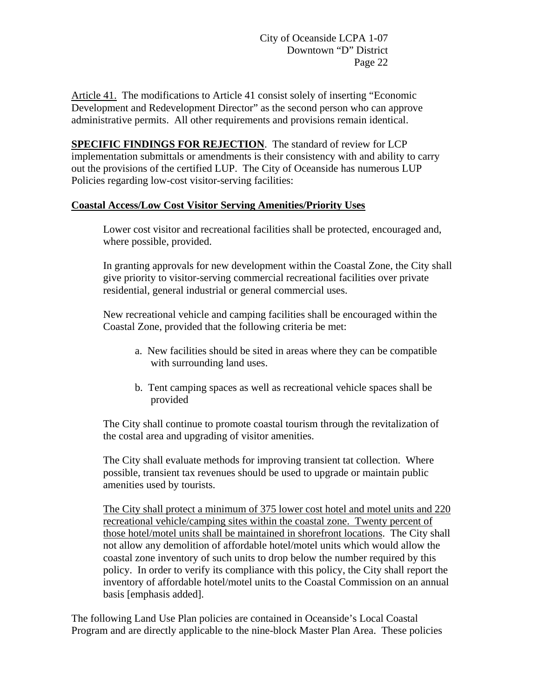Article 41. The modifications to Article 41 consist solely of inserting "Economic Development and Redevelopment Director" as the second person who can approve administrative permits. All other requirements and provisions remain identical.

**SPECIFIC FINDINGS FOR REJECTION**. The standard of review for LCP implementation submittals or amendments is their consistency with and ability to carry out the provisions of the certified LUP. The City of Oceanside has numerous LUP Policies regarding low-cost visitor-serving facilities:

### **Coastal Access/Low Cost Visitor Serving Amenities/Priority Uses**

Lower cost visitor and recreational facilities shall be protected, encouraged and, where possible, provided.

In granting approvals for new development within the Coastal Zone, the City shall give priority to visitor-serving commercial recreational facilities over private residential, general industrial or general commercial uses.

New recreational vehicle and camping facilities shall be encouraged within the Coastal Zone, provided that the following criteria be met:

- a. New facilities should be sited in areas where they can be compatible with surrounding land uses.
- b. Tent camping spaces as well as recreational vehicle spaces shall be provided

The City shall continue to promote coastal tourism through the revitalization of the costal area and upgrading of visitor amenities.

The City shall evaluate methods for improving transient tat collection. Where possible, transient tax revenues should be used to upgrade or maintain public amenities used by tourists.

The City shall protect a minimum of 375 lower cost hotel and motel units and 220 recreational vehicle/camping sites within the coastal zone. Twenty percent of those hotel/motel units shall be maintained in shorefront locations. The City shall not allow any demolition of affordable hotel/motel units which would allow the coastal zone inventory of such units to drop below the number required by this policy. In order to verify its compliance with this policy, the City shall report the inventory of affordable hotel/motel units to the Coastal Commission on an annual basis [emphasis added].

The following Land Use Plan policies are contained in Oceanside's Local Coastal Program and are directly applicable to the nine-block Master Plan Area. These policies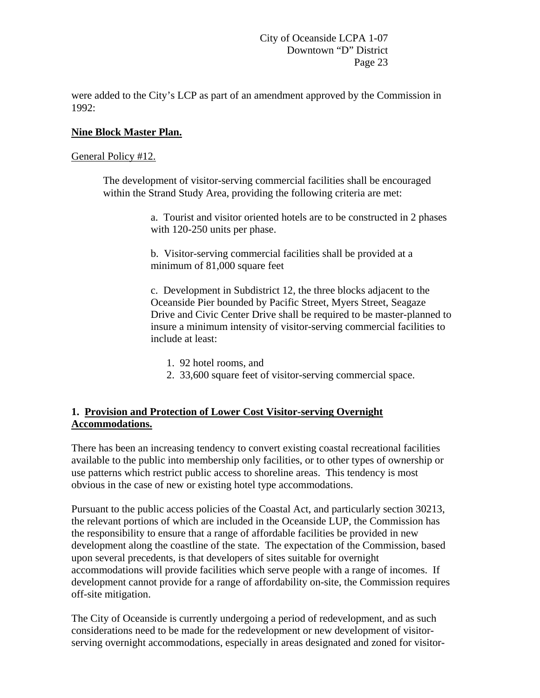were added to the City's LCP as part of an amendment approved by the Commission in 1992:

#### **Nine Block Master Plan.**

#### General Policy #12.

The development of visitor-serving commercial facilities shall be encouraged within the Strand Study Area, providing the following criteria are met:

> a. Tourist and visitor oriented hotels are to be constructed in 2 phases with 120-250 units per phase.

 b. Visitor-serving commercial facilities shall be provided at a minimum of 81,000 square feet

 c. Development in Subdistrict 12, the three blocks adjacent to the Oceanside Pier bounded by Pacific Street, Myers Street, Seagaze Drive and Civic Center Drive shall be required to be master-planned to insure a minimum intensity of visitor-serving commercial facilities to include at least:

- 1. 92 hotel rooms, and
- 2. 33,600 square feet of visitor-serving commercial space.

## **1. Provision and Protection of Lower Cost Visitor-serving Overnight Accommodations.**

There has been an increasing tendency to convert existing coastal recreational facilities available to the public into membership only facilities, or to other types of ownership or use patterns which restrict public access to shoreline areas. This tendency is most obvious in the case of new or existing hotel type accommodations.

Pursuant to the public access policies of the Coastal Act, and particularly section 30213, the relevant portions of which are included in the Oceanside LUP, the Commission has the responsibility to ensure that a range of affordable facilities be provided in new development along the coastline of the state. The expectation of the Commission, based upon several precedents, is that developers of sites suitable for overnight accommodations will provide facilities which serve people with a range of incomes. If development cannot provide for a range of affordability on-site, the Commission requires off-site mitigation.

The City of Oceanside is currently undergoing a period of redevelopment, and as such considerations need to be made for the redevelopment or new development of visitorserving overnight accommodations, especially in areas designated and zoned for visitor-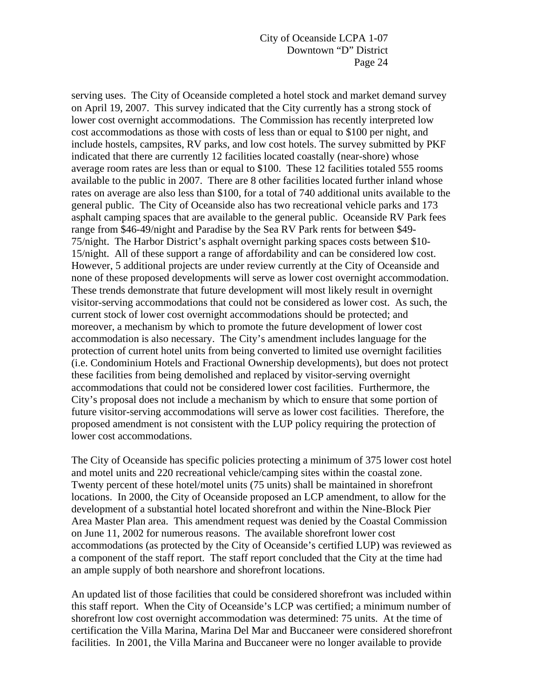serving uses. The City of Oceanside completed a hotel stock and market demand survey on April 19, 2007. This survey indicated that the City currently has a strong stock of lower cost overnight accommodations. The Commission has recently interpreted low cost accommodations as those with costs of less than or equal to \$100 per night, and include hostels, campsites, RV parks, and low cost hotels. The survey submitted by PKF indicated that there are currently 12 facilities located coastally (near-shore) whose average room rates are less than or equal to \$100. These 12 facilities totaled 555 rooms available to the public in 2007. There are 8 other facilities located further inland whose rates on average are also less than \$100, for a total of 740 additional units available to the general public. The City of Oceanside also has two recreational vehicle parks and 173 asphalt camping spaces that are available to the general public. Oceanside RV Park fees range from \$46-49/night and Paradise by the Sea RV Park rents for between \$49- 75/night. The Harbor District's asphalt overnight parking spaces costs between \$10- 15/night. All of these support a range of affordability and can be considered low cost. However, 5 additional projects are under review currently at the City of Oceanside and none of these proposed developments will serve as lower cost overnight accommodation. These trends demonstrate that future development will most likely result in overnight visitor-serving accommodations that could not be considered as lower cost. As such, the current stock of lower cost overnight accommodations should be protected; and moreover, a mechanism by which to promote the future development of lower cost accommodation is also necessary. The City's amendment includes language for the protection of current hotel units from being converted to limited use overnight facilities (i.e. Condominium Hotels and Fractional Ownership developments), but does not protect these facilities from being demolished and replaced by visitor-serving overnight accommodations that could not be considered lower cost facilities. Furthermore, the City's proposal does not include a mechanism by which to ensure that some portion of future visitor-serving accommodations will serve as lower cost facilities. Therefore, the proposed amendment is not consistent with the LUP policy requiring the protection of lower cost accommodations.

The City of Oceanside has specific policies protecting a minimum of 375 lower cost hotel and motel units and 220 recreational vehicle/camping sites within the coastal zone. Twenty percent of these hotel/motel units (75 units) shall be maintained in shorefront locations. In 2000, the City of Oceanside proposed an LCP amendment, to allow for the development of a substantial hotel located shorefront and within the Nine-Block Pier Area Master Plan area. This amendment request was denied by the Coastal Commission on June 11, 2002 for numerous reasons. The available shorefront lower cost accommodations (as protected by the City of Oceanside's certified LUP) was reviewed as a component of the staff report. The staff report concluded that the City at the time had an ample supply of both nearshore and shorefront locations.

An updated list of those facilities that could be considered shorefront was included within this staff report. When the City of Oceanside's LCP was certified; a minimum number of shorefront low cost overnight accommodation was determined: 75 units. At the time of certification the Villa Marina, Marina Del Mar and Buccaneer were considered shorefront facilities. In 2001, the Villa Marina and Buccaneer were no longer available to provide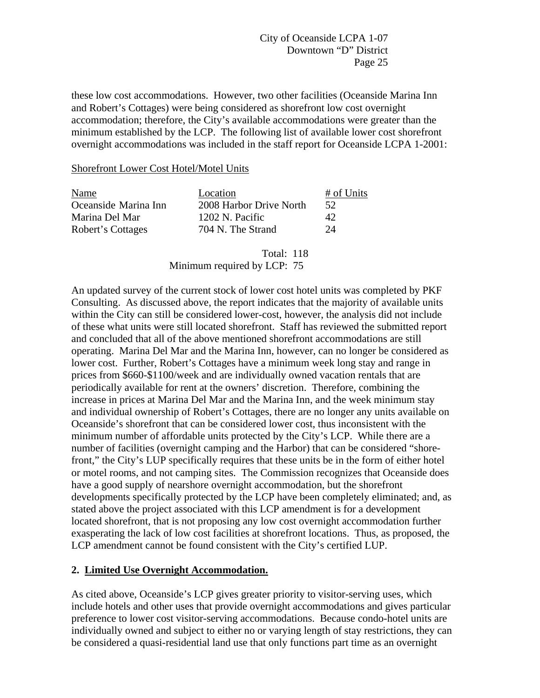these low cost accommodations. However, two other facilities (Oceanside Marina Inn and Robert's Cottages) were being considered as shorefront low cost overnight accommodation; therefore, the City's available accommodations were greater than the minimum established by the LCP. The following list of available lower cost shorefront overnight accommodations was included in the staff report for Oceanside LCPA 1-2001:

#### Shorefront Lower Cost Hotel/Motel Units

| Name                 | Location                | # of Units |
|----------------------|-------------------------|------------|
| Oceanside Marina Inn | 2008 Harbor Drive North | 52         |
| Marina Del Mar       | 1202 N. Pacific         | 42         |
| Robert's Cottages    | 704 N. The Strand       | 24         |

 Total: 118 Minimum required by LCP: 75

An updated survey of the current stock of lower cost hotel units was completed by PKF Consulting. As discussed above, the report indicates that the majority of available units within the City can still be considered lower-cost, however, the analysis did not include of these what units were still located shorefront. Staff has reviewed the submitted report and concluded that all of the above mentioned shorefront accommodations are still operating. Marina Del Mar and the Marina Inn, however, can no longer be considered as lower cost. Further, Robert's Cottages have a minimum week long stay and range in prices from \$660-\$1100/week and are individually owned vacation rentals that are periodically available for rent at the owners' discretion. Therefore, combining the increase in prices at Marina Del Mar and the Marina Inn, and the week minimum stay and individual ownership of Robert's Cottages, there are no longer any units available on Oceanside's shorefront that can be considered lower cost, thus inconsistent with the minimum number of affordable units protected by the City's LCP. While there are a number of facilities (overnight camping and the Harbor) that can be considered "shorefront," the City's LUP specifically requires that these units be in the form of either hotel or motel rooms, and not camping sites. The Commission recognizes that Oceanside does have a good supply of nearshore overnight accommodation, but the shorefront developments specifically protected by the LCP have been completely eliminated; and, as stated above the project associated with this LCP amendment is for a development located shorefront, that is not proposing any low cost overnight accommodation further exasperating the lack of low cost facilities at shorefront locations. Thus, as proposed, the LCP amendment cannot be found consistent with the City's certified LUP.

#### **2. Limited Use Overnight Accommodation.**

As cited above, Oceanside's LCP gives greater priority to visitor-serving uses, which include hotels and other uses that provide overnight accommodations and gives particular preference to lower cost visitor-serving accommodations. Because condo-hotel units are individually owned and subject to either no or varying length of stay restrictions, they can be considered a quasi-residential land use that only functions part time as an overnight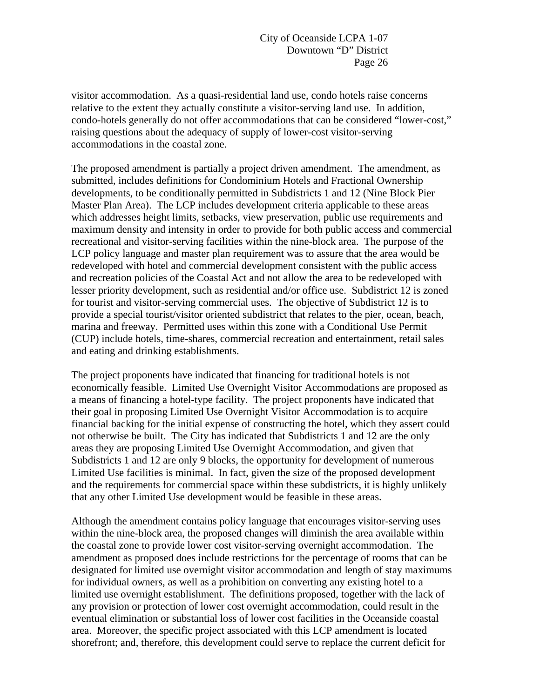visitor accommodation. As a quasi-residential land use, condo hotels raise concerns relative to the extent they actually constitute a visitor-serving land use. In addition, condo-hotels generally do not offer accommodations that can be considered "lower-cost," raising questions about the adequacy of supply of lower-cost visitor-serving accommodations in the coastal zone.

The proposed amendment is partially a project driven amendment. The amendment, as submitted, includes definitions for Condominium Hotels and Fractional Ownership developments, to be conditionally permitted in Subdistricts 1 and 12 (Nine Block Pier Master Plan Area). The LCP includes development criteria applicable to these areas which addresses height limits, setbacks, view preservation, public use requirements and maximum density and intensity in order to provide for both public access and commercial recreational and visitor-serving facilities within the nine-block area. The purpose of the LCP policy language and master plan requirement was to assure that the area would be redeveloped with hotel and commercial development consistent with the public access and recreation policies of the Coastal Act and not allow the area to be redeveloped with lesser priority development, such as residential and/or office use. Subdistrict 12 is zoned for tourist and visitor-serving commercial uses. The objective of Subdistrict 12 is to provide a special tourist/visitor oriented subdistrict that relates to the pier, ocean, beach, marina and freeway. Permitted uses within this zone with a Conditional Use Permit (CUP) include hotels, time-shares, commercial recreation and entertainment, retail sales and eating and drinking establishments.

The project proponents have indicated that financing for traditional hotels is not economically feasible. Limited Use Overnight Visitor Accommodations are proposed as a means of financing a hotel-type facility. The project proponents have indicated that their goal in proposing Limited Use Overnight Visitor Accommodation is to acquire financial backing for the initial expense of constructing the hotel, which they assert could not otherwise be built. The City has indicated that Subdistricts 1 and 12 are the only areas they are proposing Limited Use Overnight Accommodation, and given that Subdistricts 1 and 12 are only 9 blocks, the opportunity for development of numerous Limited Use facilities is minimal. In fact, given the size of the proposed development and the requirements for commercial space within these subdistricts, it is highly unlikely that any other Limited Use development would be feasible in these areas.

Although the amendment contains policy language that encourages visitor-serving uses within the nine-block area, the proposed changes will diminish the area available within the coastal zone to provide lower cost visitor-serving overnight accommodation. The amendment as proposed does include restrictions for the percentage of rooms that can be designated for limited use overnight visitor accommodation and length of stay maximums for individual owners, as well as a prohibition on converting any existing hotel to a limited use overnight establishment. The definitions proposed, together with the lack of any provision or protection of lower cost overnight accommodation, could result in the eventual elimination or substantial loss of lower cost facilities in the Oceanside coastal area. Moreover, the specific project associated with this LCP amendment is located shorefront; and, therefore, this development could serve to replace the current deficit for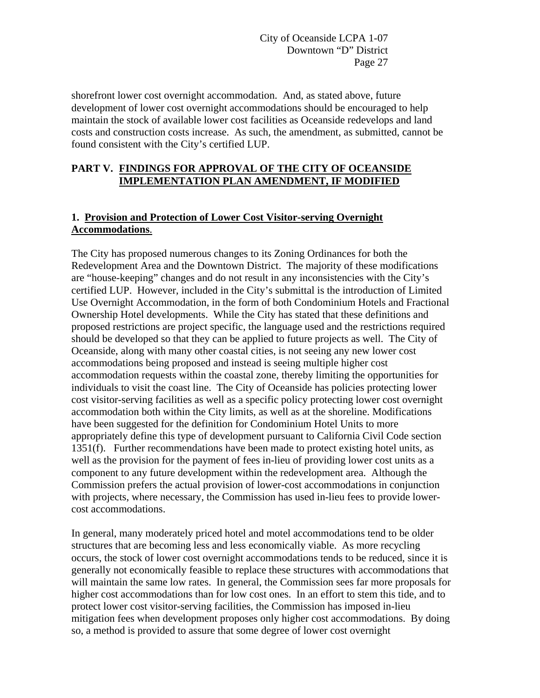shorefront lower cost overnight accommodation. And, as stated above, future development of lower cost overnight accommodations should be encouraged to help maintain the stock of available lower cost facilities as Oceanside redevelops and land costs and construction costs increase. As such, the amendment, as submitted, cannot be found consistent with the City's certified LUP.

### **PART V. FINDINGS FOR APPROVAL OF THE CITY OF OCEANSIDE IMPLEMENTATION PLAN AMENDMENT, IF MODIFIED**

### **1. Provision and Protection of Lower Cost Visitor-serving Overnight Accommodations**.

The City has proposed numerous changes to its Zoning Ordinances for both the Redevelopment Area and the Downtown District. The majority of these modifications are "house-keeping" changes and do not result in any inconsistencies with the City's certified LUP. However, included in the City's submittal is the introduction of Limited Use Overnight Accommodation, in the form of both Condominium Hotels and Fractional Ownership Hotel developments. While the City has stated that these definitions and proposed restrictions are project specific, the language used and the restrictions required should be developed so that they can be applied to future projects as well. The City of Oceanside, along with many other coastal cities, is not seeing any new lower cost accommodations being proposed and instead is seeing multiple higher cost accommodation requests within the coastal zone, thereby limiting the opportunities for individuals to visit the coast line. The City of Oceanside has policies protecting lower cost visitor-serving facilities as well as a specific policy protecting lower cost overnight accommodation both within the City limits, as well as at the shoreline. Modifications have been suggested for the definition for Condominium Hotel Units to more appropriately define this type of development pursuant to California Civil Code section 1351(f). Further recommendations have been made to protect existing hotel units, as well as the provision for the payment of fees in-lieu of providing lower cost units as a component to any future development within the redevelopment area. Although the Commission prefers the actual provision of lower-cost accommodations in conjunction with projects, where necessary, the Commission has used in-lieu fees to provide lowercost accommodations.

In general, many moderately priced hotel and motel accommodations tend to be older structures that are becoming less and less economically viable. As more recycling occurs, the stock of lower cost overnight accommodations tends to be reduced, since it is generally not economically feasible to replace these structures with accommodations that will maintain the same low rates. In general, the Commission sees far more proposals for higher cost accommodations than for low cost ones. In an effort to stem this tide, and to protect lower cost visitor-serving facilities, the Commission has imposed in-lieu mitigation fees when development proposes only higher cost accommodations. By doing so, a method is provided to assure that some degree of lower cost overnight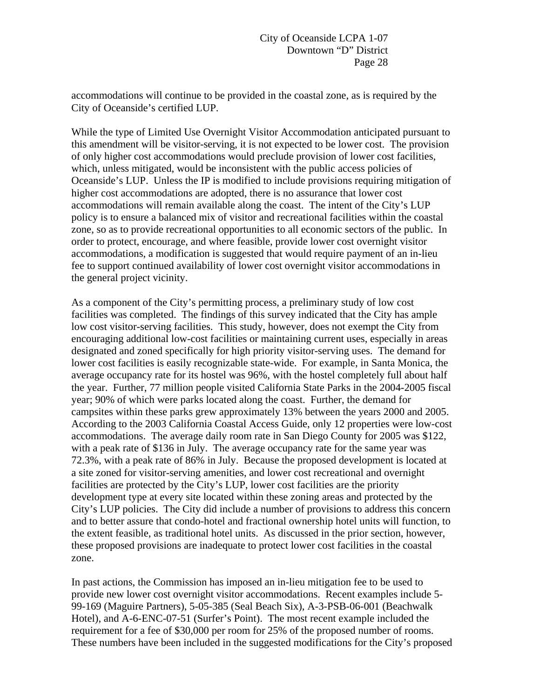accommodations will continue to be provided in the coastal zone, as is required by the City of Oceanside's certified LUP.

While the type of Limited Use Overnight Visitor Accommodation anticipated pursuant to this amendment will be visitor-serving, it is not expected to be lower cost. The provision of only higher cost accommodations would preclude provision of lower cost facilities, which, unless mitigated, would be inconsistent with the public access policies of Oceanside's LUP. Unless the IP is modified to include provisions requiring mitigation of higher cost accommodations are adopted, there is no assurance that lower cost accommodations will remain available along the coast. The intent of the City's LUP policy is to ensure a balanced mix of visitor and recreational facilities within the coastal zone, so as to provide recreational opportunities to all economic sectors of the public. In order to protect, encourage, and where feasible, provide lower cost overnight visitor accommodations, a modification is suggested that would require payment of an in-lieu fee to support continued availability of lower cost overnight visitor accommodations in the general project vicinity.

As a component of the City's permitting process, a preliminary study of low cost facilities was completed. The findings of this survey indicated that the City has ample low cost visitor-serving facilities. This study, however, does not exempt the City from encouraging additional low-cost facilities or maintaining current uses, especially in areas designated and zoned specifically for high priority visitor-serving uses. The demand for lower cost facilities is easily recognizable state-wide. For example, in Santa Monica, the average occupancy rate for its hostel was 96%, with the hostel completely full about half the year. Further, 77 million people visited California State Parks in the 2004-2005 fiscal year; 90% of which were parks located along the coast. Further, the demand for campsites within these parks grew approximately 13% between the years 2000 and 2005. According to the 2003 California Coastal Access Guide, only 12 properties were low-cost accommodations. The average daily room rate in San Diego County for 2005 was \$122, with a peak rate of \$136 in July. The average occupancy rate for the same year was 72.3%, with a peak rate of 86% in July. Because the proposed development is located at a site zoned for visitor-serving amenities, and lower cost recreational and overnight facilities are protected by the City's LUP, lower cost facilities are the priority development type at every site located within these zoning areas and protected by the City's LUP policies. The City did include a number of provisions to address this concern and to better assure that condo-hotel and fractional ownership hotel units will function, to the extent feasible, as traditional hotel units. As discussed in the prior section, however, these proposed provisions are inadequate to protect lower cost facilities in the coastal zone.

In past actions, the Commission has imposed an in-lieu mitigation fee to be used to provide new lower cost overnight visitor accommodations. Recent examples include 5- 99-169 (Maguire Partners), 5-05-385 (Seal Beach Six), A-3-PSB-06-001 (Beachwalk Hotel), and A-6-ENC-07-51 (Surfer's Point). The most recent example included the requirement for a fee of \$30,000 per room for 25% of the proposed number of rooms. These numbers have been included in the suggested modifications for the City's proposed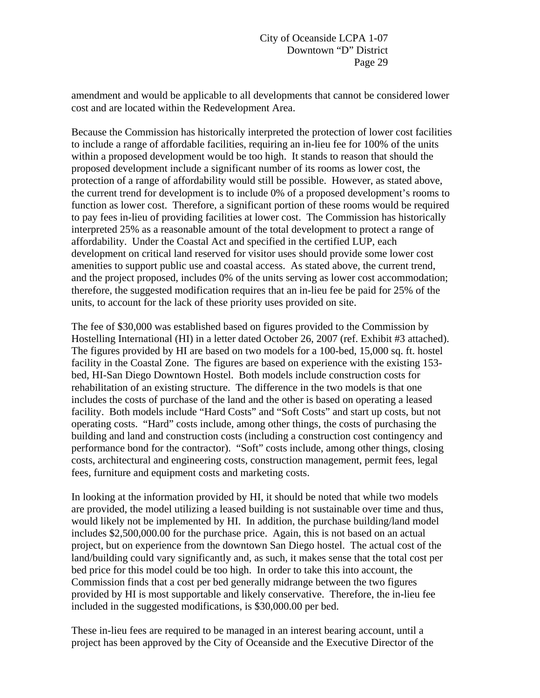amendment and would be applicable to all developments that cannot be considered lower cost and are located within the Redevelopment Area.

Because the Commission has historically interpreted the protection of lower cost facilities to include a range of affordable facilities, requiring an in-lieu fee for 100% of the units within a proposed development would be too high. It stands to reason that should the proposed development include a significant number of its rooms as lower cost, the protection of a range of affordability would still be possible. However, as stated above, the current trend for development is to include 0% of a proposed development's rooms to function as lower cost. Therefore, a significant portion of these rooms would be required to pay fees in-lieu of providing facilities at lower cost. The Commission has historically interpreted 25% as a reasonable amount of the total development to protect a range of affordability. Under the Coastal Act and specified in the certified LUP, each development on critical land reserved for visitor uses should provide some lower cost amenities to support public use and coastal access. As stated above, the current trend, and the project proposed, includes 0% of the units serving as lower cost accommodation; therefore, the suggested modification requires that an in-lieu fee be paid for 25% of the units, to account for the lack of these priority uses provided on site.

The fee of \$30,000 was established based on figures provided to the Commission by Hostelling International (HI) in a letter dated October 26, 2007 (ref. Exhibit #3 attached). The figures provided by HI are based on two models for a 100-bed, 15,000 sq. ft. hostel facility in the Coastal Zone. The figures are based on experience with the existing 153 bed, HI-San Diego Downtown Hostel. Both models include construction costs for rehabilitation of an existing structure. The difference in the two models is that one includes the costs of purchase of the land and the other is based on operating a leased facility. Both models include "Hard Costs" and "Soft Costs" and start up costs, but not operating costs. "Hard" costs include, among other things, the costs of purchasing the building and land and construction costs (including a construction cost contingency and performance bond for the contractor). "Soft" costs include, among other things, closing costs, architectural and engineering costs, construction management, permit fees, legal fees, furniture and equipment costs and marketing costs.

In looking at the information provided by HI, it should be noted that while two models are provided, the model utilizing a leased building is not sustainable over time and thus, would likely not be implemented by HI. In addition, the purchase building/land model includes \$2,500,000.00 for the purchase price. Again, this is not based on an actual project, but on experience from the downtown San Diego hostel. The actual cost of the land/building could vary significantly and, as such, it makes sense that the total cost per bed price for this model could be too high. In order to take this into account, the Commission finds that a cost per bed generally midrange between the two figures provided by HI is most supportable and likely conservative. Therefore, the in-lieu fee included in the suggested modifications, is \$30,000.00 per bed.

These in-lieu fees are required to be managed in an interest bearing account, until a project has been approved by the City of Oceanside and the Executive Director of the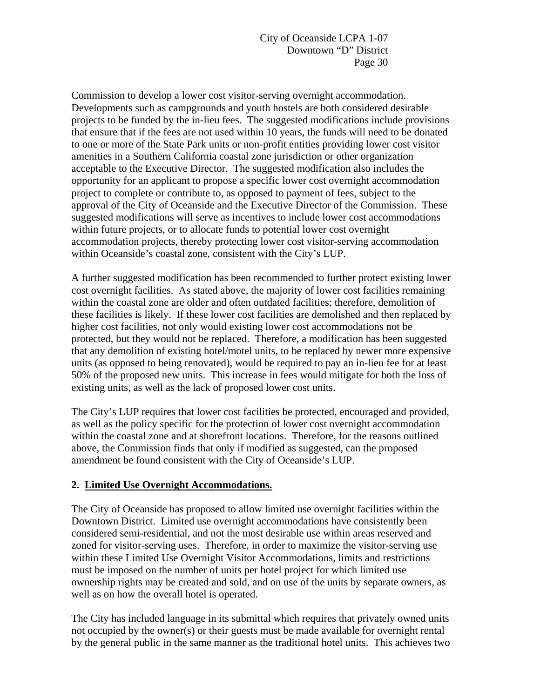Commission to develop a lower cost visitor-serving overnight accommodation. Developments such as campgrounds and youth hostels are both considered desirable projects to be funded by the in-lieu fees. The suggested modifications include provisions that ensure that if the fees are not used within 10 years, the funds will need to be donated to one or more of the State Park units or non-profit entities providing lower cost visitor amenities in a Southern California coastal zone jurisdiction or other organization acceptable to the Executive Director. The suggested modification also includes the opportunity for an applicant to propose a specific lower cost overnight accommodation project to complete or contribute to, as opposed to payment of fees, subject to the approval of the City of Oceanside and the Executive Director of the Commission. These suggested modifications will serve as incentives to include lower cost accommodations within future projects, or to allocate funds to potential lower cost overnight accommodation projects, thereby protecting lower cost visitor-serving accommodation within Oceanside's coastal zone, consistent with the City's LUP.

A further suggested modification has been recommended to further protect existing lower cost overnight facilities. As stated above, the majority of lower cost facilities remaining within the coastal zone are older and often outdated facilities; therefore, demolition of these facilities is likely. If these lower cost facilities are demolished and then replaced by higher cost facilities, not only would existing lower cost accommodations not be protected, but they would not be replaced. Therefore, a modification has been suggested that any demolition of existing hotel/motel units, to be replaced by newer more expensive units (as opposed to being renovated), would be required to pay an in-lieu fee for at least 50% of the proposed new units. This increase in fees would mitigate for both the loss of existing units, as well as the lack of proposed lower cost units.

The City's LUP requires that lower cost facilities be protected, encouraged and provided, as well as the policy specific for the protection of lower cost overnight accommodation within the coastal zone and at shorefront locations. Therefore, for the reasons outlined above, the Commission finds that only if modified as suggested, can the proposed amendment be found consistent with the City of Oceanside's LUP.

### **2. Limited Use Overnight Accommodations.**

The City of Oceanside has proposed to allow limited use overnight facilities within the Downtown District. Limited use overnight accommodations have consistently been considered semi-residential, and not the most desirable use within areas reserved and zoned for visitor-serving uses. Therefore, in order to maximize the visitor-serving use within these Limited Use Overnight Visitor Accommodations, limits and restrictions must be imposed on the number of units per hotel project for which limited use ownership rights may be created and sold, and on use of the units by separate owners, as well as on how the overall hotel is operated.

The City has included language in its submittal which requires that privately owned units not occupied by the owner(s) or their guests must be made available for overnight rental by the general public in the same manner as the traditional hotel units. This achieves two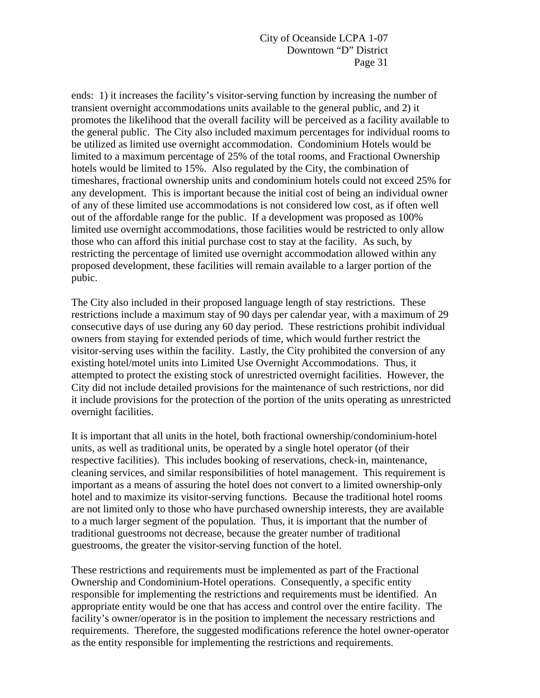ends: 1) it increases the facility's visitor-serving function by increasing the number of transient overnight accommodations units available to the general public, and 2) it promotes the likelihood that the overall facility will be perceived as a facility available to the general public. The City also included maximum percentages for individual rooms to be utilized as limited use overnight accommodation. Condominium Hotels would be limited to a maximum percentage of 25% of the total rooms, and Fractional Ownership hotels would be limited to 15%. Also regulated by the City, the combination of timeshares, fractional ownership units and condominium hotels could not exceed 25% for any development. This is important because the initial cost of being an individual owner of any of these limited use accommodations is not considered low cost, as if often well out of the affordable range for the public. If a development was proposed as 100% limited use overnight accommodations, those facilities would be restricted to only allow those who can afford this initial purchase cost to stay at the facility. As such, by restricting the percentage of limited use overnight accommodation allowed within any proposed development, these facilities will remain available to a larger portion of the pubic.

The City also included in their proposed language length of stay restrictions. These restrictions include a maximum stay of 90 days per calendar year, with a maximum of 29 consecutive days of use during any 60 day period. These restrictions prohibit individual owners from staying for extended periods of time, which would further restrict the visitor-serving uses within the facility. Lastly, the City prohibited the conversion of any existing hotel/motel units into Limited Use Overnight Accommodations. Thus, it attempted to protect the existing stock of unrestricted overnight facilities. However, the City did not include detailed provisions for the maintenance of such restrictions, nor did it include provisions for the protection of the portion of the units operating as unrestricted overnight facilities.

It is important that all units in the hotel, both fractional ownership/condominium-hotel units, as well as traditional units, be operated by a single hotel operator (of their respective facilities). This includes booking of reservations, check-in, maintenance, cleaning services, and similar responsibilities of hotel management. This requirement is important as a means of assuring the hotel does not convert to a limited ownership-only hotel and to maximize its visitor-serving functions. Because the traditional hotel rooms are not limited only to those who have purchased ownership interests, they are available to a much larger segment of the population. Thus, it is important that the number of traditional guestrooms not decrease, because the greater number of traditional guestrooms, the greater the visitor-serving function of the hotel.

These restrictions and requirements must be implemented as part of the Fractional Ownership and Condominium-Hotel operations. Consequently, a specific entity responsible for implementing the restrictions and requirements must be identified. An appropriate entity would be one that has access and control over the entire facility. The facility's owner/operator is in the position to implement the necessary restrictions and requirements. Therefore, the suggested modifications reference the hotel owner-operator as the entity responsible for implementing the restrictions and requirements.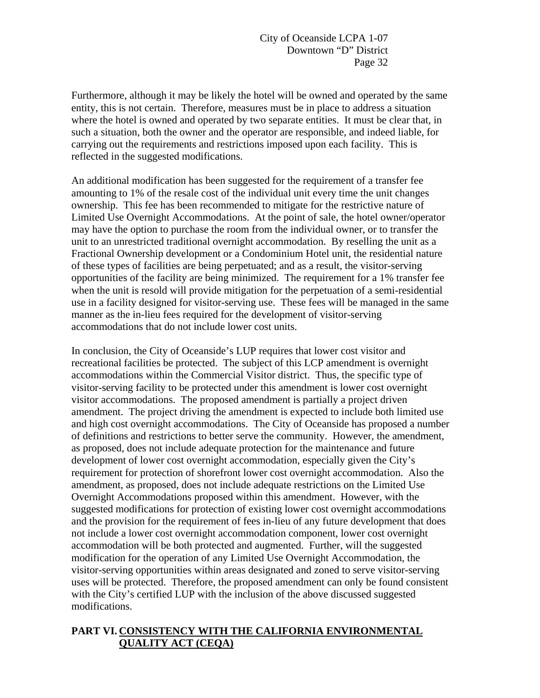Furthermore, although it may be likely the hotel will be owned and operated by the same entity, this is not certain. Therefore, measures must be in place to address a situation where the hotel is owned and operated by two separate entities. It must be clear that, in such a situation, both the owner and the operator are responsible, and indeed liable, for carrying out the requirements and restrictions imposed upon each facility. This is reflected in the suggested modifications.

An additional modification has been suggested for the requirement of a transfer fee amounting to 1% of the resale cost of the individual unit every time the unit changes ownership. This fee has been recommended to mitigate for the restrictive nature of Limited Use Overnight Accommodations. At the point of sale, the hotel owner/operator may have the option to purchase the room from the individual owner, or to transfer the unit to an unrestricted traditional overnight accommodation. By reselling the unit as a Fractional Ownership development or a Condominium Hotel unit, the residential nature of these types of facilities are being perpetuated; and as a result, the visitor-serving opportunities of the facility are being minimized. The requirement for a 1% transfer fee when the unit is resold will provide mitigation for the perpetuation of a semi-residential use in a facility designed for visitor-serving use. These fees will be managed in the same manner as the in-lieu fees required for the development of visitor-serving accommodations that do not include lower cost units.

In conclusion, the City of Oceanside's LUP requires that lower cost visitor and recreational facilities be protected. The subject of this LCP amendment is overnight accommodations within the Commercial Visitor district. Thus, the specific type of visitor-serving facility to be protected under this amendment is lower cost overnight visitor accommodations. The proposed amendment is partially a project driven amendment. The project driving the amendment is expected to include both limited use and high cost overnight accommodations. The City of Oceanside has proposed a number of definitions and restrictions to better serve the community. However, the amendment, as proposed, does not include adequate protection for the maintenance and future development of lower cost overnight accommodation, especially given the City's requirement for protection of shorefront lower cost overnight accommodation. Also the amendment, as proposed, does not include adequate restrictions on the Limited Use Overnight Accommodations proposed within this amendment. However, with the suggested modifications for protection of existing lower cost overnight accommodations and the provision for the requirement of fees in-lieu of any future development that does not include a lower cost overnight accommodation component, lower cost overnight accommodation will be both protected and augmented. Further, will the suggested modification for the operation of any Limited Use Overnight Accommodation, the visitor-serving opportunities within areas designated and zoned to serve visitor-serving uses will be protected. Therefore, the proposed amendment can only be found consistent with the City's certified LUP with the inclusion of the above discussed suggested modifications.

### **PART VI. CONSISTENCY WITH THE CALIFORNIA ENVIRONMENTAL QUALITY ACT (CEQA)**